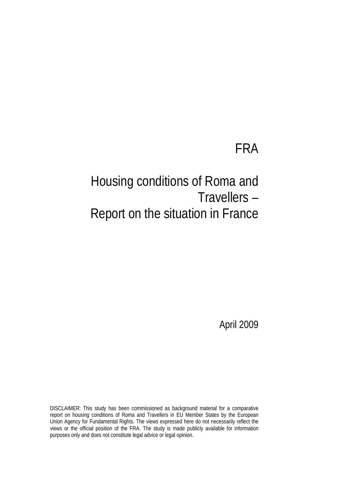# FRA

# Housing conditions of Roma and Travellers – Report on the situation in France

April 2009

DISCLAIMER: This study has been commissioned as background material for a comparative report on housing conditions of Roma and Travellers in EU Member States by the European Union Agency for Fundamental Rights. The views expressed here do not necessarily reflect the views or the official position of the FRA. The study is made publicly available for information purposes only and does not constitute legal advice or legal opinion.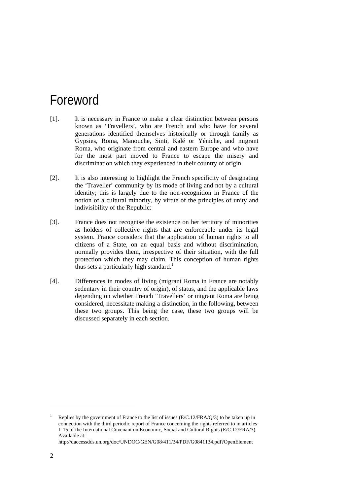# <span id="page-1-1"></span>Foreword

- [1]. It is necessary in France to make a clear distinction between persons known as 'Travellers', who are French and who have for several generations identified themselves historically or through family as Gypsies, Roma, Manouche, Sinti, Kalé or Yéniche, and migrant Roma, who originate from central and eastern Europe and who have for the most part moved to France to escape the misery and discrimination which they experienced in their country of origin.
- [2]. It is also interesting to highlight the French specificity of designating the 'Traveller' community by its mode of living and not by a cultural identity; this is largely due to the non-recognition in France of the notion of a cultural minority, by virtue of the principles of unity and indivisibility of the Republic:
- [3]. France does not recognise the existence on her territory of minorities as holders of collective rights that are enforceable under its legal system. France considers that the application of human rights to all citizens of a State, on an equal basis and without discrimination, normally provides them, irrespective of their situation, with the full protection which they may claim. This conception of human rights thus sets a particularly high standard.<sup>[1](#page-1-0)</sup>
- [4]. Differences in modes of living (migrant Roma in France are notably sedentary in their country of origin), of status, and the applicable laws depending on whether French 'Travellers' or migrant Roma are being considered, necessitate making a distinction, in the following, between these two groups. This being the case, these two groups will be discussed separately in each section.

 $\overline{a}$ 

<span id="page-1-0"></span><sup>&</sup>lt;sup>1</sup> Replies by the government of France to the list of issues ( $E/C.12/FRA/O/3$ ) to be taken up in connection with the third periodic report of France concerning the rights referred to in articles 1-15 of the International Covenant on Economic, Social and Cultural Rights (E/C.12/FRA/3). Available at:

http://daccessdds.un.org/doc/UNDOC/GEN/G08/411/34/PDF/G0841134.pdf?OpenElement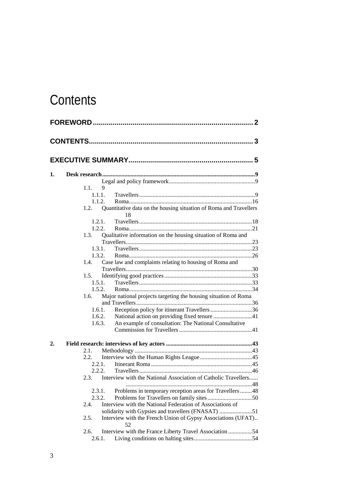# <span id="page-2-0"></span>**Contents**

| 1. |        |        |                                                                   |  |
|----|--------|--------|-------------------------------------------------------------------|--|
|    |        |        |                                                                   |  |
|    | 1.1.   | 9      |                                                                   |  |
|    | 1.1.1. |        |                                                                   |  |
|    | 1.1.2. |        |                                                                   |  |
|    | 1.2.   |        | Quantitative data on the housing situation of Roma and Travellers |  |
|    |        |        | 18                                                                |  |
|    | 1.2.1. |        |                                                                   |  |
|    |        | 1.2.2. |                                                                   |  |
|    | 1.3.   |        | Qualitative information on the housing situation of Roma and      |  |
|    |        |        |                                                                   |  |
|    | 131    |        |                                                                   |  |
|    |        | 1.3.2. |                                                                   |  |
|    | 1.4.   |        | Case law and complaints relating to housing of Roma and           |  |
|    |        |        |                                                                   |  |
|    | 1.5.   |        |                                                                   |  |
|    | 1.5.1. |        |                                                                   |  |
|    | 1.5.2. |        |                                                                   |  |
|    | 1.6.   |        | Major national projects targeting the housing situation of Roma   |  |
|    |        |        |                                                                   |  |
|    |        | 1.6.1. | Reception policy for itinerant Travellers 36                      |  |
|    | 1.6.2. |        | National action on providing fixed tenure 41                      |  |
|    | 1.6.3. |        | An example of consultation: The National Consultative             |  |
|    |        |        |                                                                   |  |
| 2. |        |        |                                                                   |  |
|    | 2.1.   |        |                                                                   |  |
|    | 2.2.   |        |                                                                   |  |
|    | 2.2.1. |        |                                                                   |  |
|    | 2.2.2  |        |                                                                   |  |
|    | 2.3.   |        | Interview with the National Association of Catholic Travellers    |  |
|    |        |        |                                                                   |  |
|    | 2.3.1. |        | Problems in temporary reception areas for Travellers  48          |  |
|    | 2.3.2. |        |                                                                   |  |
|    | 2.4.   |        | Interview with the National Federation of Associations of         |  |
|    |        |        | solidarity with Gypsies and travellers (FNASAT) 51                |  |
|    | 2.5.   |        | Interview with the French Union of Gypsy Associations (UFAT)      |  |
|    |        |        | 52                                                                |  |
|    | 2.6.   |        | Interview with the France Liberty Travel Association 54           |  |
|    | 2.6.1. |        |                                                                   |  |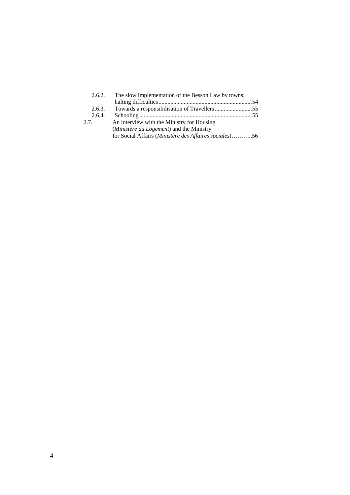| 2.6.2. | The slow implementation of the Besson Law by towns;    |  |
|--------|--------------------------------------------------------|--|
|        |                                                        |  |
| 2.6.3. |                                                        |  |
| 2.6.4. |                                                        |  |
| 2.7.   | An interview with the Ministry for Housing             |  |
|        | (Ministère du Logement) and the Ministry               |  |
|        | for Social Affairs (Ministère des Affaires sociales)56 |  |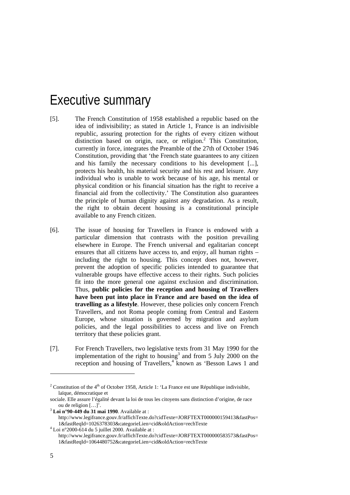# <span id="page-4-0"></span>Executive summary

- [5]. The French Constitution of 1958 established a republic based on the idea of indivisibility; as stated in Article 1, France is an indivisible republic, assuring protection for the rights of every citizen without distinction based on origin, race, or religion.<sup>2</sup> This Constitution, currently in force, integrates the Preamble of the 27th of October 1946 Constitution, providing that 'the French state guarantees to any citizen and his family the necessary conditions to his development [...], protects his health, his material security and his rest and leisure. Any individual who is unable to work because of his age, his mental or physical condition or his financial situation has the right to receive a financial aid from the collectivity.' The Constitution also guarantees the principle of human dignity against any degradation. As a result, the right to obtain decent housing is a constitutional principle available to any French citizen.
- [6]. The issue of housing for Travellers in France is endowed with a particular dimension that contrasts with the position prevailing elsewhere in Europe. The French universal and egalitarian concept ensures that all citizens have access to, and enjoy, all human rights – including the right to housing. This concept does not, however, prevent the adoption of specific policies intended to guarantee that vulnerable groups have effective access to their rights. Such policies fit into the more general one against exclusion and discrimination. Thus, **public policies for the reception and housing of Travellers have been put into place in France and are based on the idea of travelling as a lifestyle**. However, these policies only concern French Travellers, and not Roma people coming from Central and Eastern Europe, whose situation is governed by migration and asylum policies, and the legal possibilities to access and live on French territory that these policies grant.
- [7]. For French Travellers, two legislative texts from 31 May 1990 for the implementation of the right to housing<sup>3</sup> and from 5 July 2000 on the reception and housing of Travellers,<sup>[4](#page-4-3)</sup> known as 'Besson Laws 1 and

ou de religion […]'. 3 **Loi n°90-449 du 31 mai 1990**. Available at :

 $\overline{a}$ 

<span id="page-4-1"></span><sup>&</sup>lt;sup>2</sup> Constitution of the 4<sup>th</sup> of October 1958, Article 1: 'La France est une République indivisible, laïque, démocratique et

sociale. Elle assure l'égalité devant la loi de tous les citoyens sans distinction d'origine, de race

<span id="page-4-2"></span>http://www.legifrance.gouv.fr/affichTexte.do?cidTexte=JORFTEXT000000159413&fastPos= 1&fastReqId=1026378303&categorieLien=cid&oldAction=rechTexte <sup>4</sup>

<span id="page-4-3"></span> $4$  Loi n°2000-614 du 5 juillet 2000. Available at :

http://www.legifrance.gouv.fr/affichTexte.do?cidTexte=JORFTEXT000000583573&fastPos= 1&fastReqId=1064480752&categorieLien=cid&oldAction=rechTexte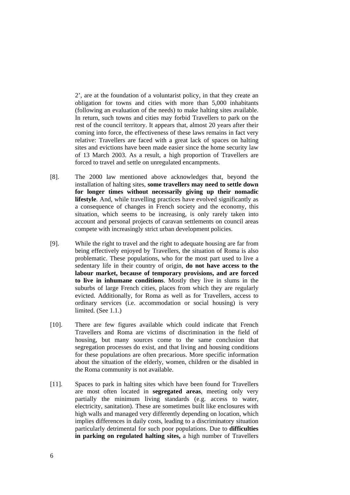2', are at the foundation of a voluntarist policy, in that they create an obligation for towns and cities with more than 5,000 inhabitants (following an evaluation of the needs) to make halting sites available. In return, such towns and cities may forbid Travellers to park on the rest of the council territory. It appears that, almost 20 years after their coming into force, the effectiveness of these laws remains in fact very relative: Travellers are faced with a great lack of spaces on halting sites and evictions have been made easier since the home security law of 13 March 2003. As a result, a high proportion of Travellers are forced to travel and settle on unregulated encampments.

- [8]. The 2000 law mentioned above acknowledges that, beyond the installation of halting sites, **some travellers may need to settle down for longer times without necessarily giving up their nomadic lifestyle**. And, while travelling practices have evolved significantly as a consequence of changes in French society and the economy, this situation, which seems to be increasing, is only rarely taken into account and personal projects of caravan settlements on council areas compete with increasingly strict urban development policies.
- [9]. While the right to travel and the right to adequate housing are far from being effectively enjoyed by Travellers, the situation of Roma is also problematic. These populations, who for the most part used to live a sedentary life in their country of origin, **do not have access to the labour market, because of temporary provisions, and are forced to live in inhumane conditions**. Mostly they live in slums in the suburbs of large French cities, places from which they are regularly evicted. Additionally, for Roma as well as for Travellers, access to ordinary services (i.e. accommodation or social housing) is very limited. (See 1.1.)
- [10]. There are few figures available which could indicate that French Travellers and Roma are victims of discrimination in the field of housing, but many sources come to the same conclusion that segregation processes do exist, and that living and housing conditions for these populations are often precarious. More specific information about the situation of the elderly, women, children or the disabled in the Roma community is not available.
- [11]. Spaces to park in halting sites which have been found for Travellers are most often located in **segregated areas**, meeting only very partially the minimum living standards (e.g. access to water, electricity, sanitation). These are sometimes built like enclosures with high walls and managed very differently depending on location, which implies differences in daily costs, leading to a discriminatory situation particularly detrimental for such poor populations. Due to **difficulties in parking on regulated halting sites,** a high number of Travellers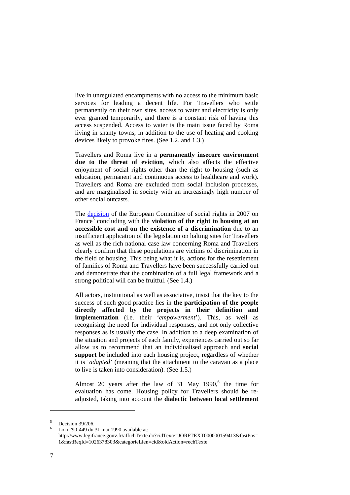live in unregulated encampments with no access to the minimum basic services for leading a decent life. For Travellers who settle permanently on their own sites, access to water and electricity is only ever granted temporarily, and there is a constant risk of having this access suspended. Access to water is the main issue faced by Roma living in shanty towns, in addition to the use of heating and cooking devices likely to provoke fires. (See 1.2. and 1.3.)

Travellers and Roma live in a **permanently insecure environment due to the threat of eviction**, which also affects the effective enjoyment of social rights other than the right to housing (such as education, permanent and continuous access to healthcare and work). Travellers and Roma are excluded from social inclusion processes, and are marginalised in society with an increasingly high number of other social outcasts.

The [decision](http://www.coe.int/t/dghl/monitoring/socialcharter/Complaints/CC39Merits_fr.pdf) of the European Committee of social rights in 2007 on France<sup>[5](#page-6-0)</sup> concluding with the **violation of the right to housing at an accessible cost and on the existence of a discrimination** due to an insufficient application of the legislation on halting sites for Travellers as well as the rich national case law concerning Roma and Travellers clearly confirm that these populations are victims of discrimination in the field of housing. This being what it is, actions for the resettlement of families of Roma and Travellers have been successfully carried out and demonstrate that the combination of a full legal framework and a strong political will can be fruitful. (See 1.4.)

All actors, institutional as well as associative, insist that the key to the success of such good practice lies in **the participation of the people directly affected by the projects in their definition and implementation** (i.e. their '*empowerment*'). This, as well as recognising the need for individual responses, and not only collective responses as is usually the case. In addition to a deep examination of the situation and projects of each family, experiences carried out so far allow us to recommend that an individualised approach and **social support** be included into each housing project, regardless of whether it is '*adapted*' (meaning that the attachment to the caravan as a place to live is taken into consideration). (See 1.5.)

Almost20 years after the law of 31 May  $1990$ , the time for evaluation has come. Housing policy for Travellers should be readjusted, taking into account the **dialectic between local settlement**

<span id="page-6-0"></span><sup>5</sup> Decision 39/206.

<span id="page-6-1"></span>Loi n°90-449 du 31 mai 1990 available at: http://www.legifrance.gouv.fr/affichTexte.do?cidTexte=JORFTEXT000000159413&fastPos= 1&fastReqId=1026378303&categorieLien=cid&oldAction=rechTexte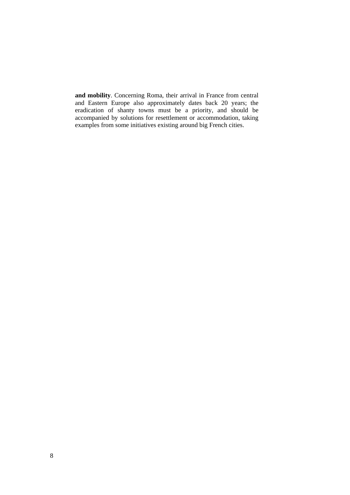**and mobility**. Concerning Roma, their arrival in France from central and Eastern Europe also approximately dates back 20 years; the eradication of shanty towns must be a priority, and should be accompanied by solutions for resettlement or accommodation, taking examples from some initiatives existing around big French cities.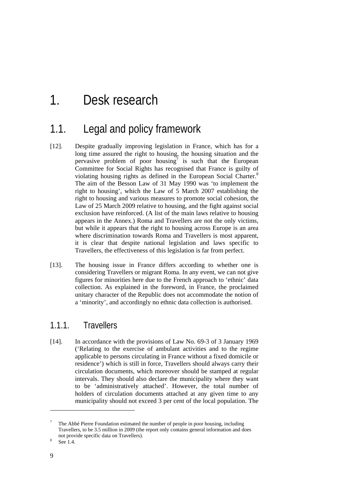# <span id="page-8-0"></span>1. Desk research

## 1.1. Legal and policy framework

- [12]. Despite gradually improving legislation in France, which has for a long time assured the right to housing, the housing situation and the pervasive problem of poor housing<sup>[7](#page-8-1)</sup> is such that the European Committee for Social Rights has recognised that France is guilty of violating housing rights as defined in the European Social Charter.<sup>[8](#page-8-2)</sup> The aim of the Besson Law of 31 May 1990 was 'to implement the right to housing', which the Law of 5 March 2007 establishing the right to housing and various measures to promote social cohesion, the Law of 25 March 2009 relative to housing, and the fight against social exclusion have reinforced. (A list of the main laws relative to housing appears in the Annex.) Roma and Travellers are not the only victims, but while it appears that the right to housing across Europe is an area where discrimination towards Roma and Travellers is most apparent, it is clear that despite national legislation and laws specific to Travellers, the effectiveness of this legislation is far from perfect.
- [13]. The housing issue in France differs according to whether one is considering Travellers or migrant Roma. In any event, we can not give figures for minorities here due to the French approach to 'ethnic' data collection. As explained in the foreword, in France, the proclaimed unitary character of the Republic does not accommodate the notion of a 'minority', and accordingly no ethnic data collection is authorised.

### 1.1.1. Travellers

[14]. In accordance with the provisions of Law No. 69-3 of 3 January 1969 ('Relating to the exercise of ambulant activities and to the regime applicable to persons circulating in France without a fixed domicile or residence') which is still in force, Travellers should always carry their circulation documents, which moreover should be stamped at regular intervals. They should also declare the municipality where they want to be 'administratively attached'. However, the total number of holders of circulation documents attached at any given time to any municipality should not exceed 3 per cent of the local population. The

<span id="page-8-1"></span><sup>7</sup> The Abbé Pierre Foundation estimated the number of people in poor housing, including Travellers, to be 3.5 million in 2009 (the report only contains general information and does not provide specific data on Travellers).

<span id="page-8-2"></span>See 1.4.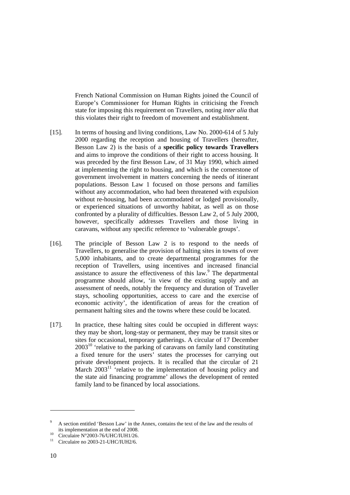French National Commission on Human Rights joined the Council of Europe's Commissioner for Human Rights in criticising the French state for imposing this requirement on Travellers, noting *inter alia* that this violates their right to freedom of movement and establishment.

- [15]. In terms of housing and living conditions, Law No. 2000-614 of 5 July 2000 regarding the reception and housing of Travellers (hereafter, Besson Law 2) is the basis of a **specific policy towards Travellers** and aims to improve the conditions of their right to access housing. It was preceded by the first Besson Law, of 31 May 1990, which aimed at implementing the right to housing, and which is the cornerstone of government involvement in matters concerning the needs of itinerant populations. Besson Law 1 focused on those persons and families without any accommodation, who had been threatened with expulsion without re-housing, had been accommodated or lodged provisionally, or experienced situations of unworthy habitat, as well as on those confronted by a plurality of difficulties. Besson Law 2, of 5 July 2000, however, specifically addresses Travellers and those living in caravans, without any specific reference to 'vulnerable groups'.
- [16]. The principle of Besson Law 2 is to respond to the needs of Travellers, to generalise the provision of halting sites in towns of over 5,000 inhabitants, and to create departmental programmes for the reception of Travellers, using incentives and increased financial assistance to assure the effectiveness of this law.<sup>[9](#page-9-0)</sup> The departmental programme should allow, 'in view of the existing supply and an assessment of needs, notably the frequency and duration of Traveller stays, schooling opportunities, access to care and the exercise of economic activity', the identification of areas for the creation of permanent halting sites and the towns where these could be located.
- [17]. In practice, these halting sites could be occupied in different ways: they may be short, long-stay or permanent, they may be transit sites or sites for occasional, temporary gatherings. A circular of 17 December  $2003<sup>10</sup>$  'relative to the parking of caravans on family land constituting a fixed tenure for the users' states the processes for carrying out private development projects. It is recalled that the circular of 21 March  $2003<sup>11</sup>$  $2003<sup>11</sup>$  $2003<sup>11</sup>$  'relative to the implementation of housing policy and the state aid financing programme' allows the development of rented family land to be financed by local associations.

<span id="page-9-0"></span>A section entitled 'Besson Law' in the Annex, contains the text of the law and the results of its implementation at the end of 2008.

<span id="page-9-1"></span><sup>&</sup>lt;sup>10</sup> Circulaire N°2003-76/UHC/IUH1/26.<br><sup>11</sup> Circulaire no 2003-21-UHC/IUH2/6.

<span id="page-9-2"></span>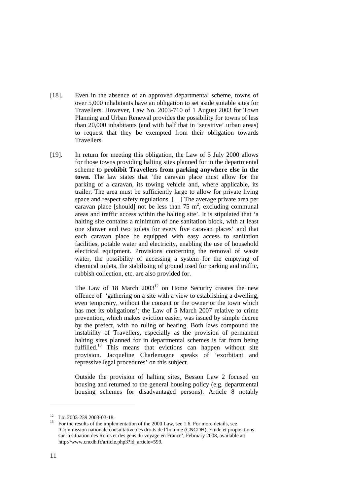- [18]. Even in the absence of an approved departmental scheme, towns of over 5,000 inhabitants have an obligation to set aside suitable sites for Travellers. However, Law No. 2003-710 of 1 August 2003 for Town Planning and Urban Renewal provides the possibility for towns of less than 20,000 inhabitants (and with half that in 'sensitive' urban areas) to request that they be exempted from their obligation towards Travellers.
- [19]. In return for meeting this obligation, the Law of 5 July 2000 allows for those towns providing halting sites planned for in the departmental scheme to **prohibit Travellers from parking anywhere else in the town**. The law states that 'the caravan place must allow for the parking of a caravan, its towing vehicle and, where applicable, its trailer. The area must be sufficiently large to allow for private living space and respect safety regulations. […] The average private area per caravan place [should] not be less than  $75 \text{ m}^2$ , excluding communal areas and traffic access within the halting site'. It is stipulated that 'a halting site contains a minimum of one sanitation block, with at least one shower and two toilets for every five caravan places' and that each caravan place be equipped with easy access to sanitation facilities, potable water and electricity, enabling the use of household electrical equipment. Provisions concerning the removal of waste water, the possibility of accessing a system for the emptying of chemical toilets, the stabilising of ground used for parking and traffic, rubbish collection, etc. are also provided for.

The Law of 18 March  $2003^{12}$  on Home Security creates the new offence of 'gathering on a site with a view to establishing a dwelling, even temporary, without the consent or the owner or the town which has met its obligations'; the Law of 5 March 2007 relative to crime prevention, which makes eviction easier, was issued by simple decree by the prefect, with no ruling or hearing. Both laws compound the instability of Travellers, especially as the provision of permanent halting sites planned for in departmental schemes is far from being fulfilled.<sup>13</sup> This means that evictions can happen without site provision. Jacqueline Charlemagne speaks of 'exorbitant and repressive legal procedures' on this subject.

Outside the provision of halting sites, Besson Law 2 focused on housing and returned to the general housing policy (e.g. departmental housing schemes for disadvantaged persons). Article 8 notably

 $\overline{a}$ 

<span id="page-10-1"></span><span id="page-10-0"></span>

<sup>&</sup>lt;sup>12</sup> Loi 2003-239 2003-03-18.<br><sup>13</sup> For the results of the implementation of the 2000 Law, see 1.6. For more details, see 'Commission nationale consultative des droits de l'homme (CNCDH), Etude et propositions sur la situation des Roms et des gens du voyage en France', February 2008, available at: http://www.cncdh.fr/article.php3?id\_article=599.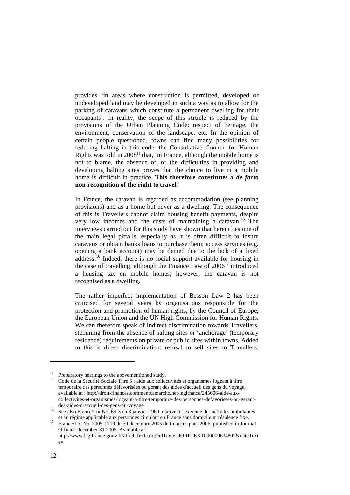provides 'in areas where construction is permitted, developed or undeveloped land may be developed in such a way as to allow for the parking of caravans which constitute a permanent dwelling for their occupants'. In reality, the scope of this Article is reduced by the provisions of the Urban Planning Code: respect of heritage, the environment, conservation of the landscape, etc. In the opinion of certain people questioned, towns can find many possibilities for reducing halting in this code: the Consultative Council for Human Rights was told in  $2008<sup>14</sup>$  that, 'in France, although the mobile home is not to blame, the absence of, or the difficulties in providing and developing halting sites proves that the choice to live in a mobile home is difficult in practice. **This therefore constitutes a** *de facto* **non-recognition of the right to travel**.'

In France, the caravan is regarded as accommodation (see planning provisions) and as a home but never as a dwelling. The consequence of this is Travellers cannot claim housing benefit payments, despite very low incomes and the costs of maintaining a caravan.[15](#page-11-1) The interviews carried out for this study have shown that herein lies one of the main legal pitfalls, especially as it is often difficult to insure caravans or obtain banks loans to purchase them; access services (e.g. opening a bank account) may be denied due to the lack of a fixed address.[16](#page-11-2) Indeed, there is no social support available for housing in the case of travelling, although the Finance Law of  $2006<sup>17</sup>$  introduced a housing tax on mobile homes; however, the caravan is not recognised as a dwelling.

The rather imperfect implementation of Besson Law 2 has been criticised for several years by organisations responsible for the protection and promotion of human rights, by the Council of Europe, the European Union and the UN High Commission for Human Rights. We can therefore speak of indirect discrimination towards Travellers. stemming from the absence of halting sites or 'anchorage' (temporary residence) requirements on private or public sites within towns. Added to this is direct discrimination: refusal to sell sites to Travellers;

<span id="page-11-1"></span>

<span id="page-11-0"></span><sup>&</sup>lt;sup>14</sup> Preparatory hearings to the abovementioned study.<br><sup>15</sup> Code de la Sécurité Sociale Titre 5 : aide aux collectivités et organismes logeant à titre temporaire des personnes défavorisées ou gérant des aides d'accueil des gens du voyage, available at : http://droit-finances.commentcamarche.net/legifrance/245606-aide-auxcollectivites-et-organismes-logeant-a-titre-temporaire-des-personnes-defavorisees-ou-gerant-

<span id="page-11-2"></span>des-aides-d-accueil-des-gens-du-voyage <sup>16</sup> See also France/Loi No. 69-3 du 3 janvier 1969 relative à l'exercice des activités ambulantes

<span id="page-11-3"></span>et au régime applicable aux personnes circulant en France sans domicile ni résidence fixe. 17 France/Loi No. 2005-1719 du 30 décembre 2005 de finances pour 2006, published in Journal Officiel December 31 2005. Available at:

http://www.legifrance.gouv.fr/affichTexte.do?cidTexte=JORFTEXT000000634802&dateText  $e=$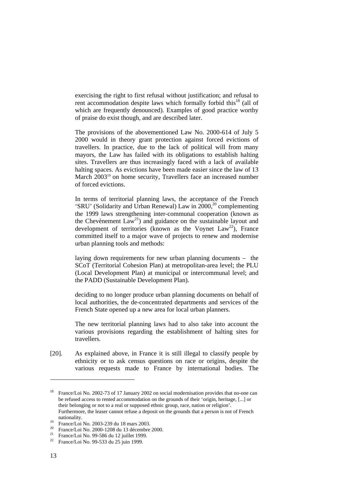exercising the right to first refusal without justification; and refusal to rent accommodation despite laws which formally forbid this<sup>18</sup> (all of which are frequently denounced). Examples of good practice worthy of praise do exist though, and are described later.

The provisions of the abovementioned Law No. 2000-614 of July 5 2000 would in theory grant protection against forced evictions of travellers. In practice, due to the lack of political will from many mayors, the Law has failed with its obligations to establish halting sites. Travellers are thus increasingly faced with a lack of available halting spaces. As evictions have been made easier since the law of 13 March 2003<sup>19</sup> on home security, Travellers face an increased number of forced evictions.

In terms of territorial planning laws, the acceptance of the French 'SRU' (Solidarity and Urban Renewal) Law in  $2000$ <sup>20</sup> complementing the 1999 laws strengthening inter-communal cooperation (known as the Chevènement  $Law^{21}$ ) and guidance on the sustainable layout and development of territories (known as the Voynet  $Law^{22}$ ), France committed itself to a major wave of projects to renew and modernise urban planning tools and methods:

laying down requirements for new urban planning documents – the SCoT (Territorial Cohesion Plan) at metropolitan-area level; the PLU (Local Development Plan) at municipal or intercommunal level; and the PADD (Sustainable Development Plan).

deciding to no longer produce urban planning documents on behalf of local authorities, the de-concentrated departments and services of the French State opened up a new area for local urban planners.

The new territorial planning laws had to also take into account the various provisions regarding the establishment of halting sites for travellers.

[20]. As explained above, in France it is still illegal to classify people by ethnicity or to ask census questions on race or origins, despite the various requests made to France by international bodies. The

<span id="page-12-0"></span><sup>&</sup>lt;sup>18</sup> France/Loi No. 2002-73 of 17 January 2002 on social modernisation provides that no-one can be refused access to rented accommodation on the grounds of their 'origin, heritage, [...] or their belonging or not to a real or supposed ethnic group, race, nation or religion'. Furthermore, the leaser cannot refuse a deposit on the grounds that a person is not of French

<span id="page-12-2"></span><span id="page-12-1"></span>

nationality.<br>
<sup>19</sup> France/Loi No. 2003-239 du 18 mars 2003.<br>
<sup>20</sup> France/Loi No. 2000-1208 du 13 décembre 2000.<br>
<sup>21</sup> France/Loi No. 99-533 du 25 juin 1999.<br>
<sup>22</sup> France/Loi No. 99-533 du 25 juin 1999.

<span id="page-12-3"></span>

<span id="page-12-4"></span>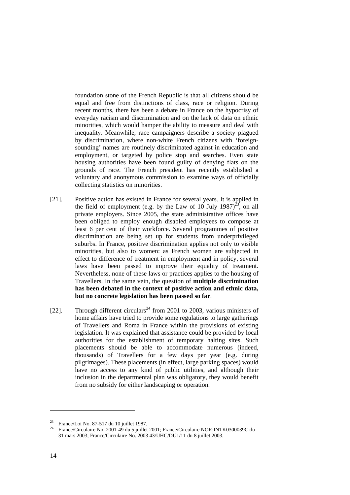foundation stone of the French Republic is that all citizens should be equal and free from distinctions of class, race or religion. During recent months, there has been a debate in France on the hypocrisy of everyday racism and discrimination and on the lack of data on ethnic minorities, which would hamper the ability to measure and deal with inequality. Meanwhile, race campaigners describe a society plagued by discrimination, where non-white French citizens with 'foreignsounding' names are routinely discriminated against in education and employment, or targeted by police stop and searches. Even state housing authorities have been found guilty of denying flats on the grounds of race. The French president has recently established a voluntary and anonymous commission to examine ways of officially collecting statistics on minorities.

- [21]. Positive action has existed in France for several years. It is applied in the field of employment (e.g. by the Law of 10 July  $1987)^{23}$ , on all private employers. Since 2005, the state administrative offices have been obliged to employ enough disabled employees to compose at least 6 per cent of their workforce. Several programmes of positive discrimination are being set up for students from underprivileged suburbs. In France, positive discrimination applies not only to visible minorities, but also to women: as French women are subjected in effect to difference of treatment in employment and in policy, several laws have been passed to improve their equality of treatment. Nevertheless, none of these laws or practices applies to the housing of Travellers. In the same vein, the question of **multiple discrimination has been debated in the context of positive action and ethnic data, but no concrete legislation has been passed so far**.
- [22]. Through different circulars<sup>24</sup> from 2001 to 2003, various ministers of home affairs have tried to provide some regulations to large gatherings of Travellers and Roma in France within the provisions of existing legislation. It was explained that assistance could be provided by local authorities for the establishment of temporary halting sites. Such placements should be able to accommodate numerous (indeed, thousands) of Travellers for a few days per year (e.g. during pilgrimages). These placements (in effect, large parking spaces) would have no access to any kind of public utilities, and although their inclusion in the departmental plan was obligatory, they would benefit from no subsidy for either landscaping or operation.

<span id="page-13-1"></span><span id="page-13-0"></span>

<sup>&</sup>lt;sup>23</sup> France/Loi No. 87-517 du 10 juillet 1987.<br><sup>24</sup> France/Circulaire No. 2001-49 du 5 juillet 2001; France/Circulaire NOR:INTK0300039C du 31 mars 2003; France/Circulaire No. 2003 43/UHC/DU1/11 du 8 juillet 2003.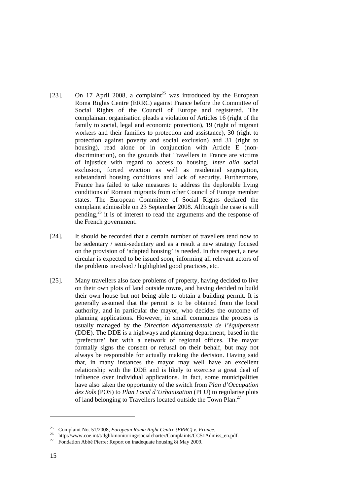- [23]. On 17 April 2008, a complaint<sup>25</sup> was introduced by the European Roma Rights Centre (ERRC) against France before the Committee of Social Rights of the Council of Europe and registered. The complainant organisation pleads a violation of Articles 16 (right of the family to social, legal and economic protection), 19 (right of migrant workers and their families to protection and assistance), 30 (right to protection against poverty and social exclusion) and 31 (right to housing), read alone or in conjunction with Article E (nondiscrimination), on the grounds that Travellers in France are victims of injustice with regard to access to housing, *inter alia* social exclusion, forced eviction as well as residential segregation, substandard housing conditions and lack of security. Furthermore, France has failed to take measures to address the deplorable living conditions of Romani migrants from other Council of Europe member states. The European Committee of Social Rights declared the complaint admissible on 23 September 2008. Although the case is still pending, [26](#page-14-1) it is of interest to read the arguments and the response of the French government.
- [24]. It should be recorded that a certain number of travellers tend now to be sedentary / semi-sedentary and as a result a new strategy focused on the provision of 'adapted housing' is needed. In this respect, a new circular is expected to be issued soon, informing all relevant actors of the problems involved / highlighted good practices, etc.
- [25]. Many travellers also face problems of property, having decided to live on their own plots of land outside towns, and having decided to build their own house but not being able to obtain a building permit. It is generally assumed that the permit is to be obtained from the local authority, and in particular the mayor, who decides the outcome of planning applications. However, in small communes the process is usually managed by the *Direction départementale de l'équipement* (DDE). The DDE is a highways and planning department, based in the 'prefecture' but with a network of regional offices. The mayor formally signs the consent or refusal on their behalf, but may not always be responsible for actually making the decision. Having said that, in many instances the mayor may well have an excellent relationship with the DDE and is likely to exercise a great deal of influence over individual applications. In fact, some municipalities have also taken the opportunity of the switch from *Plan d'Occupation des Sols* (POS) to *Plan Local d'Urbanisation* (PLU) to regularise plots of land belonging to Travellers located outside the Town Plan.<sup>[27](#page-14-2)</sup>

<span id="page-14-1"></span><span id="page-14-0"></span>

<sup>&</sup>lt;sup>25</sup> Complaint No. 51/2008, *European Roma Right Centre (ERRC) v. France.*<br><sup>26</sup> http://www.coe.int/t/dghl/monitoring/socialcharter/Complaints/CC51Admiss\_en.pdf.<br><sup>27</sup> Fondation Abbé Pierre: Report on inadequate housing 8t

<span id="page-14-2"></span>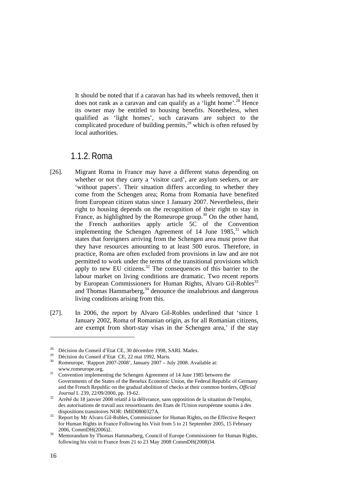<span id="page-15-0"></span>It should be noted that if a caravan has had its wheels removed, then it does not rank as a caravan and can qualify as a 'light home'.<sup>28</sup> Hence its owner may be entitled to housing benefits. Nonetheless, when qualified as 'light homes', such caravans are subject to the complicated procedure of building permits,<sup>29</sup> which is often refused by local authorities.

### 1.1.2. Roma

- [26]. Migrant Roma in France may have a different status depending on whether or not they carry a 'visitor card', are asylum seekers, or are 'without papers'. Their situation differs according to whether they come from the Schengen area; Roma from Romania have benefited from European citizen status since 1 January 2007. Nevertheless, their right to housing depends on the recognition of their right to stay in France, as highlighted by the Romeurope group.<sup>30</sup> On the other hand, the French authorities apply article 5C of the Convention implementing the Schengen Agreement of  $14$  June  $1985$ ,<sup>[31](#page-15-4)</sup> which states that foreigners arriving from the Schengen area must prove that they have resources amounting to at least 500 euros. Therefore, in practice, Roma are often excluded from provisions in law and are not permitted to work under the terms of the transitional provisions which apply to new EU citizens.<sup>32</sup> The consequences of this barrier to the labour market on living conditions are dramatic. Two recent reports by European Commissioners for Human Rights, Alvaro Gil-Robles<sup>33</sup> and Thomas Hammarberg,<sup>34</sup> denounce the insalubrious and dangerous living conditions arising from this.
- [27]. In 2006, the report by Alvaro Gil-Robles underlined that 'since 1 January 2002, Roma of Romanian origin, as for all Romanian citizens, are exempt from short-stay visas in the Schengen area,' if the stay

<span id="page-15-1"></span><sup>&</sup>lt;sup>28</sup> Décision du Conseil d'Etat CE, 30 décembre 1998, SARL Madex.<br><sup>29</sup> Décision du Conseil d'Etat CE, 22 mai 1992, Maris.<br><sup>30</sup> Romeurope, 'Rapport 2007-2008', January 2007 – July 2008. Available at:

<span id="page-15-2"></span>

<span id="page-15-3"></span>www.romeurope.org. 31 Convention implementing the Schengen Agreement of 14 June 1985 between the

<span id="page-15-4"></span>Governments of the States of the Benelux Economic Union, the Federal Republic of Germany and the French Republic on the gradual abolition of checks at their common borders, *Official*

<span id="page-15-5"></span>*Journal* L 239, 22/09/2000, pp. 19-62.<br><sup>32</sup> Arrêté du 18 janvier 2008 relatif à la délivrance, sans opposition de la situation de l'emploi, des autorisations de travail aux ressortissants des Etats de l'Union européenne soumis à des

<span id="page-15-6"></span>dispositions transitions of II-Robles, Commissioner for Human Rights, on the Effective Respect for Human Rights in France Following his Visit from 5 to 21 September 2005, 15 February 2006, CommDH(2006)2.<br>Memorandum by Thomas Hammarberg, Council of Europe Commissioner for Human Rights,

<span id="page-15-7"></span>following his visit to France from 21 to 23 May 2008 CommDH(2008)34.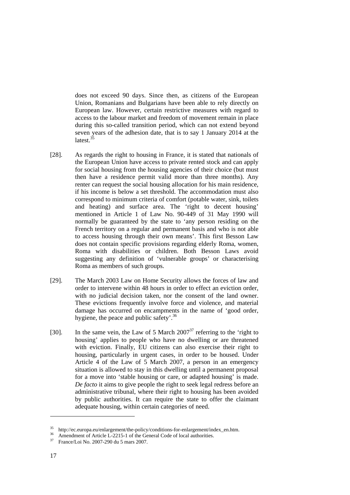does not exceed 90 days. Since then, as citizens of the European Union, Romanians and Bulgarians have been able to rely directly on European law. However, certain restrictive measures with regard to access to the labour market and freedom of movement remain in place during this so-called transition period, which can not extend beyond seven years of the adhesion date, that is to say 1 January 2014 at the latest. $35$ 

- [28]. As regards the right to housing in France, it is stated that nationals of the European Union have access to private rented stock and can apply for social housing from the housing agencies of their choice (but must then have a residence permit valid more than three months). Any renter can request the social housing allocation for his main residence, if his income is below a set threshold. The accommodation must also correspond to minimum criteria of comfort (potable water, sink, toilets and heating) and surface area. The 'right to decent housing' mentioned in Article 1 of Law No. 90-449 of 31 May 1990 will normally be guaranteed by the state to 'any person residing on the French territory on a regular and permanent basis and who is not able to access housing through their own means'. This first Besson Law does not contain specific provisions regarding elderly Roma, women, Roma with disabilities or children. Both Besson Laws avoid suggesting any definition of 'vulnerable groups' or characterising Roma as members of such groups.
- [29]. The March 2003 Law on Home Security allows the forces of law and order to intervene within 48 hours in order to effect an eviction order, with no judicial decision taken, nor the consent of the land owner. These evictions frequently involve force and violence, and material damage has occurred on encampments in the name of 'good order, hygiene, the peace and public safety'.<sup>[36](#page-16-1)</sup>
- [30]. In the same vein, the Law of 5 March  $2007^{37}$  referring to the 'right to housing' applies to people who have no dwelling or are threatened with eviction. Finally, EU citizens can also exercise their right to housing, particularly in urgent cases, in order to be housed. Under Article 4 of the Law of 5 March 2007, a person in an emergency situation is allowed to stay in this dwelling until a permanent proposal for a move into 'stable housing or care, or adapted housing' is made. *De facto* it aims to give people the right to seek legal redress before an administrative tribunal, where their right to housing has been avoided by public authorities. It can require the state to offer the claimant adequate housing, within certain categories of need.

<span id="page-16-0"></span><sup>&</sup>lt;sup>35</sup> http://ec.europa.eu/enlargement/the-policy/conditions-for-enlargement/index\_en.htm.<br><sup>36</sup> Amendment of Article L-2215-1 of the General Code of local authorities.<br><sup>37</sup> France/Loi No. 2007-290 du 5 mars 2007.

<span id="page-16-1"></span>

<span id="page-16-2"></span>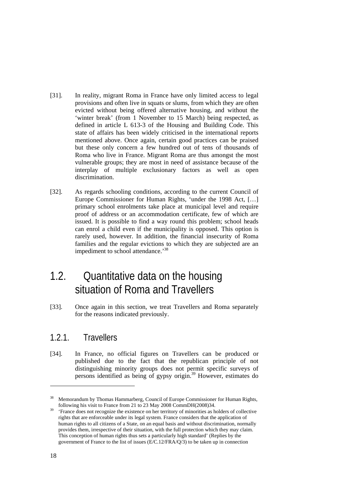- <span id="page-17-0"></span>[31]. In reality, migrant Roma in France have only limited access to legal provisions and often live in squats or slums, from which they are often evicted without being offered alternative housing, and without the 'winter break' (from 1 November to 15 March) being respected, as defined in article L 613-3 of the Housing and Building Code. This state of affairs has been widely criticised in the international reports mentioned above. Once again, certain good practices can be praised but these only concern a few hundred out of tens of thousands of Roma who live in France. Migrant Roma are thus amongst the most vulnerable groups; they are most in need of assistance because of the interplay of multiple exclusionary factors as well as open discrimination.
- [32]. As regards schooling conditions, according to the current Council of Europe Commissioner for Human Rights, 'under the 1998 Act, […] primary school enrolments take place at municipal level and require proof of address or an accommodation certificate, few of which are issued. It is possible to find a way round this problem; school heads can enrol a child even if the municipality is opposed. This option is rarely used, however. In addition, the financial insecurity of Roma families and the regular evictions to which they are subjected are an impediment to school attendance.<sup>38</sup>

# 1.2. Quantitative data on the housing situation of Roma and Travellers

[33]. Once again in this section, we treat Travellers and Roma separately for the reasons indicated previously.

### 1.2.1. Travellers

[34]. In France, no official figures on Travellers can be produced or published due to the fact that the republican principle of not distinguishing minority groups does not permit specific surveys of persons identified as being of gypsy origin.[39](#page-17-2) However, estimates do

<span id="page-17-1"></span><sup>&</sup>lt;sup>38</sup> Memorandum by Thomas Hammarberg, Council of Europe Commissioner for Human Rights,

<span id="page-17-2"></span>following his visit to France from 21 to 23 May 2008 CommDH(2008)34. 39 'France does not recognize the existence on her territory of minorities as holders of collective rights that are enforceable under its legal system. France considers that the application of human rights to all citizens of a State, on an equal basis and without discrimination, normally provides them, irrespective of their situation, with the full protection which they may claim. This conception of human rights thus sets a particularly high standard' (Replies by the government of France to the list of issues (E/C.12/FRA/Q/3) to be taken up in connection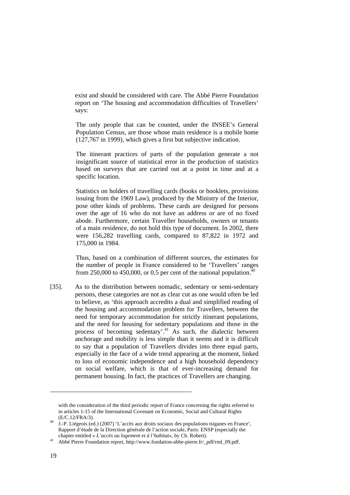exist and should be considered with care. The Abbé Pierre Foundation report on 'The housing and accommodation difficulties of Travellers' says:

The only people that can be counted, under the INSEE's General Population Census, are those whose main residence is a mobile home (127,767 in 1999), which gives a first but subjective indication.

The itinerant practices of parts of the population generate a not insignificant source of statistical error in the production of statistics based on surveys that are carried out at a point in time and at a specific location.

Statistics on holders of travelling cards (books or booklets, provisions issuing from the 1969 Law), produced by the Ministry of the Interior, pose other kinds of problems. These cards are designed for persons over the age of 16 who do not have an address or are of no fixed abode. Furthermore, certain Traveller households, owners or tenants of a main residence, do not hold this type of document. In 2002, there were 156,282 travelling cards, compared to 87,822 in 1972 and 175,000 in 1984.

Thus, based on a combination of different sources, the estimates for the number of people in France considered to be 'Travellers' ranges from 250,000 to 450,000, or 0.5 per cent of the national population.<sup>40</sup>

[35]. As to the distribution between nomadic, sedentary or semi-sedentary persons, these categories are not as clear cut as one would often be led to believe, as 'this approach accredits a dual and simplified reading of the housing and accommodation problem for Travellers, between the need for temporary accommodation for strictly itinerant populations, and the need for housing for sedentary populations and those in the process of becoming sedentary'. [41](#page-18-1) As such, the dialectic between anchorage and mobility is less simple than it seems and it is difficult to say that a population of Travellers divides into three equal parts, especially in the face of a wide trend appearing at the moment, linked to loss of economic independence and a high household dependency on social welfare, which is that of ever-increasing demand for permanent housing. In fact, the practices of Travellers are changing.

with the consideration of the third periodic report of France concerning the rights referred to in articles 1-15 of the International Covenant on Economic, Social and Cultural Rights

<span id="page-18-0"></span><sup>(</sup>E/C.12/FRA/3). 40 J.-P. Liégeois (ed.) (2007) 'L'accès aux droits sociaux des populations tsiganes en France', Rapport d'étude de la Direction générale de l'action sociale, Paris: ENSP (especially the chapter entitled « *L'accès au logement et à l'habitat*», by Ch. Robert). <sup>41</sup> Abbé Pierre Foundation report, http://www.fondation-abbe-pierre.fr/\_pdf/rml\_09.pdf.

<span id="page-18-1"></span>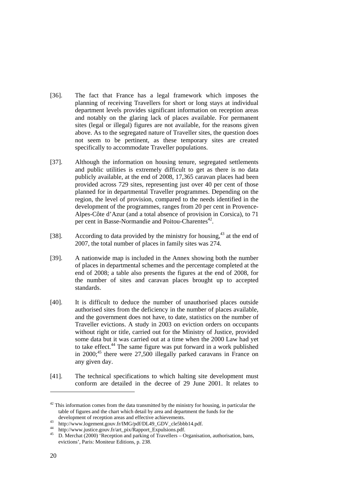- [36]. The fact that France has a legal framework which imposes the planning of receiving Travellers for short or long stays at individual department levels provides significant information on reception areas and notably on the glaring lack of places available. For permanent sites (legal or illegal) figures are not available, for the reasons given above. As to the segregated nature of Traveller sites, the question does not seem to be pertinent, as these temporary sites are created specifically to accommodate Traveller populations.
- [37]. Although the information on housing tenure, segregated settlements and public utilities is extremely difficult to get as there is no data publicly available, at the end of 2008, 17,365 caravan places had been provided across 729 sites, representing just over 40 per cent of those planned for in departmental Traveller programmes. Depending on the region, the level of provision, compared to the needs identified in the development of the programmes, ranges from 20 per cent in Provence-Alpes-Côte d'Azur (and a total absence of provision in Corsica), to 71 per cent in Basse-Normandie and Poitou-Charentes<sup>42</sup>.
- [38]. According to data provided by the ministry for housing,  $43$  at the end of 2007, the total number of places in family sites was 274.
- [39]. A nationwide map is included in the Annex showing both the number of places in departmental schemes and the percentage completed at the end of 2008; a table also presents the figures at the end of 2008, for the number of sites and caravan places brought up to accepted standards.
- [40]. It is difficult to deduce the number of unauthorised places outside authorised sites from the deficiency in the number of places available, and the government does not have, to date, statistics on the number of Traveller evictions. A study in 2003 on eviction orders on occupants without right or title, carried out for the Ministry of Justice, provided some data but it was carried out at a time when the 2000 Law had yet to take effect.<sup>44</sup> The same figure was put forward in a work published in  $2000$ ;<sup>45</sup> there were  $27,500$  illegally parked caravans in France on any given day.
- [41]. The technical specifications to which halting site development must conform are detailed in the decree of 29 June 2001. It relates to

<span id="page-19-0"></span> $42$  This information comes from the data transmitted by the ministry for housing, in particular the table of figures and the chart which detail by area and department the funds for the

<span id="page-19-1"></span>

<span id="page-19-3"></span><span id="page-19-2"></span>

development of reception areas and effective achievements.<br>
<sup>43</sup> http://www.logement.gouv.fr/IMG/pdf/DL49\_GDV\_cle5bbb14.pdf.<br>
<sup>44</sup> http://www.justice.gouv.fr/art\_pix/Rapport\_Expulsions.pdf.<br>
D. Merchat (2000) 'Reception an evictions', Paris: Moniteur Editions, p. 238.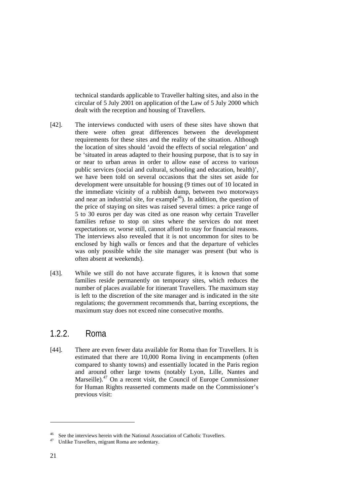<span id="page-20-0"></span>technical standards applicable to Traveller halting sites, and also in the circular of 5 July 2001 on application of the Law of 5 July 2000 which dealt with the reception and housing of Travellers.

- [42]. The interviews conducted with users of these sites have shown that there were often great differences between the development requirements for these sites and the reality of the situation. Although the location of sites should 'avoid the effects of social relegation' and be 'situated in areas adapted to their housing purpose, that is to say in or near to urban areas in order to allow ease of access to various public services (social and cultural, schooling and education, health)', we have been told on several occasions that the sites set aside for development were unsuitable for housing (9 times out of 10 located in the immediate vicinity of a rubbish dump, between two motorways and near an industrial site, for example<sup>46</sup>). In addition, the question of the price of staying on sites was raised several times: a price range of 5 to 30 euros per day was cited as one reason why certain Traveller families refuse to stop on sites where the services do not meet expectations or, worse still, cannot afford to stay for financial reasons. The interviews also revealed that it is not uncommon for sites to be enclosed by high walls or fences and that the departure of vehicles was only possible while the site manager was present (but who is often absent at weekends).
- [43]. While we still do not have accurate figures, it is known that some families reside permanently on temporary sites, which reduces the number of places available for itinerant Travellers. The maximum stay is left to the discretion of the site manager and is indicated in the site regulations; the government recommends that, barring exceptions, the maximum stay does not exceed nine consecutive months.

### 1.2.2. Roma

[44]. There are even fewer data available for Roma than for Travellers. It is estimated that there are 10,000 Roma living in encampments (often compared to shanty towns) and essentially located in the Paris region and around other large towns (notably Lyon, Lille, Nantes and Marseille).<sup>47</sup> On a recent visit, the Council of Europe Commissioner for Human Rights reasserted comments made on the Commissioner's previous visit:

 $\overline{a}$ 

<span id="page-20-1"></span><sup>&</sup>lt;sup>46</sup> See the interviews herein with the National Association of Catholic Travellers.  $47$  Unlike Travellers, migrant Roma are sedentary.

<span id="page-20-2"></span>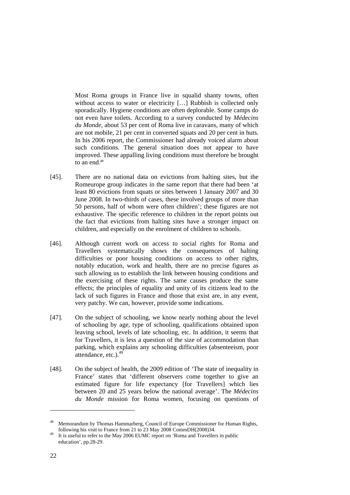Most Roma groups in France live in squalid shanty towns, often without access to water or electricity [...] Rubbish is collected only sporadically. Hygiene conditions are often deplorable. Some camps do not even have toilets. According to a survey conducted by *Médecins du Monde*, about 53 per cent of Roma live in caravans, many of which are not mobile, 21 per cent in converted squats and 20 per cent in huts. In his 2006 report, the Commissioner had already voiced alarm about such conditions. The general situation does not appear to have improved. These appalling living conditions must therefore be brought to an end. [48](#page-21-0)

- [45]. There are no national data on evictions from halting sites, but the Romeurope group indicates in the same report that there had been 'at least 80 evictions from squats or sites between 1 January 2007 and 30 June 2008. In two-thirds of cases, these involved groups of more than 50 persons, half of whom were often children'; these figures are not exhaustive. The specific reference to children in the report points out the fact that evictions from halting sites have a stronger impact on children, and especially on the enrolment of children to schools.
- [46]. Although current work on access to social rights for Roma and Travellers systematically shows the consequences of halting difficulties or poor housing conditions on access to other rights, notably education, work and health, there are no precise figures as such allowing us to establish the link between housing conditions and the exercising of these rights. The same causes produce the same effects; the principles of equality and unity of its citizens lead to the lack of such figures in France and those that exist are, in any event, very patchy. We can, however, provide some indications.
- [47]. On the subject of schooling, we know nearly nothing about the level of schooling by age, type of schooling, qualifications obtained upon leaving school, levels of late schooling, etc. In addition, it seems that for Travellers, it is less a question of the size of accommodation than parking, which explains any schooling difficulties (absenteeism, poor attendance, etc.). $49$
- [48]. On the subject of health, the 2009 edition of 'The state of inequality in France' states that 'different observers come together to give an estimated figure for life expectancy [for Travellers] which lies between 20 and 25 years below the national average'. The *Médecins du Monde* mission for Roma women, focusing on questions of

<span id="page-21-0"></span>Memorandum by Thomas Hammarberg, Council of Europe Commissioner for Human Rights, following his visit to France from 21 to 23 May 2008 CommDH(2008)34.

<span id="page-21-1"></span>It is useful to refer to the May 2006 EUMC report on 'Roma and Travellers in public education', pp.28-29.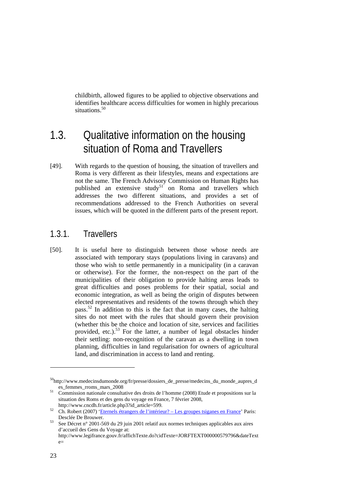<span id="page-22-0"></span>childbirth, allowed figures to be applied to objective observations and identifies healthcare access difficulties for women in highly precarious situations.<sup>[50](#page-22-1)</sup>

# 1.3. Qualitative information on the housing situation of Roma and Travellers

[49]. With regards to the question of housing, the situation of travellers and Roma is very different as their lifestyles, means and expectations are not the same. The French Advisory Commission on Human Rights has published an extensive study<sup>51</sup> on Roma and travellers which addresses the two different situations, and provides a set of recommendations addressed to the French Authorities on several issues, which will be quoted in the different parts of the present report.

### 1.3.1. Travellers

[50]. It is useful here to distinguish between those whose needs are associated with temporary stays (populations living in caravans) and those who wish to settle permanently in a municipality (in a caravan or otherwise). For the former, the non-respect on the part of the municipalities of their obligation to provide halting areas leads to great difficulties and poses problems for their spatial, social and economic integration, as well as being the origin of disputes between elected representatives and residents of the towns through which they pass.<sup>52</sup> In addition to this is the fact that in many cases, the halting sites do not meet with the rules that should govern their provision (whether this be the choice and location of site, services and facilities provided, etc.).<sup>53</sup> For the latter, a number of legal obstacles hinder their settling: non-recognition of the caravan as a dwelling in town planning, difficulties in land regularisation for owners of agricultural land, and discrimination in access to land and renting.

<span id="page-22-1"></span><sup>50</sup>http://www.medecinsdumonde.org/fr/presse/dossiers\_de\_presse/medecins\_du\_monde\_aupres\_d

<span id="page-22-2"></span>es\_femmes\_rroms\_mars\_2008 51 Commission nationale consultative des droits de l'homme (2008) Etude et propositions sur la situation des Roms et des gens du voyage en France, 7 février 2008,

<span id="page-22-3"></span>http://www.cncdh.fr/article.php3?id\_article=599.<br>52 Ch. Robert (2007) ['Eternels étrangers de l'intérieur? – Les groupes tsiganes](http://www.priceminister.com/navigation/se/category/sa/kw/eternels+%e9trangers+de+l%27int%e9rieur+%3f+-+les+groupes+tsiganes+en+france) en France' Paris:

<span id="page-22-4"></span>Desclée De Brouwer. <sup>53</sup> See Décret n° 2001-569 du 29 juin 2001 relatif aux normes techniques applicables aux aires d'accueil des Gens du Voyage at: http://www.legifrance.gouv.fr/affichTexte.do?cidTexte=JORFTEXT000000579796&dateText  $e=$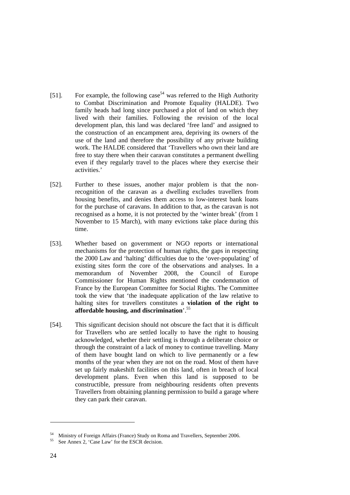- [51]. For example, the following case<sup>54</sup> was referred to the High Authority to Combat Discrimination and Promote Equality (HALDE). Two family heads had long since purchased a plot of land on which they lived with their families. Following the revision of the local development plan, this land was declared 'free land' and assigned to the construction of an encampment area, depriving its owners of the use of the land and therefore the possibility of any private building work. The HALDE considered that 'Travellers who own their land are free to stay there when their caravan constitutes a permanent dwelling even if they regularly travel to the places where they exercise their activities.'
- [52]. Further to these issues, another major problem is that the nonrecognition of the caravan as a dwelling excludes travellers from housing benefits, and denies them access to low-interest bank loans for the purchase of caravans. In addition to that, as the caravan is not recognised as a home, it is not protected by the 'winter break' (from 1 November to 15 March), with many evictions take place during this time.
- [53]. Whether based on government or NGO reports or international mechanisms for the protection of human rights, the gaps in respecting the 2000 Law and 'halting' difficulties due to the 'over-populating' of existing sites form the core of the observations and analyses. In a memorandum of November 2008, the Council of Europe Commissioner for Human Rights mentioned the condemnation of France by the European Committee for Social Rights. The Committee took the view that 'the inadequate application of the law relative to halting sites for travellers constitutes a **violation of the right to affordable housing, and discrimination**'.[55](#page-23-1)
- [54]. This significant decision should not obscure the fact that it is difficult for Travellers who are settled locally to have the right to housing acknowledged, whether their settling is through a deliberate choice or through the constraint of a lack of money to continue travelling. Many of them have bought land on which to live permanently or a few months of the year when they are not on the road. Most of them have set up fairly makeshift facilities on this land, often in breach of local development plans. Even when this land is supposed to be constructible, pressure from neighbouring residents often prevents Travellers from obtaining planning permission to build a garage where they can park their caravan.

 $\overline{a}$ 

<span id="page-23-0"></span>Ministry of Foreign Affairs (France) Study on Roma and Travellers, September 2006. See Annex 2, 'Case Law' for the ESCR decision.

<span id="page-23-1"></span>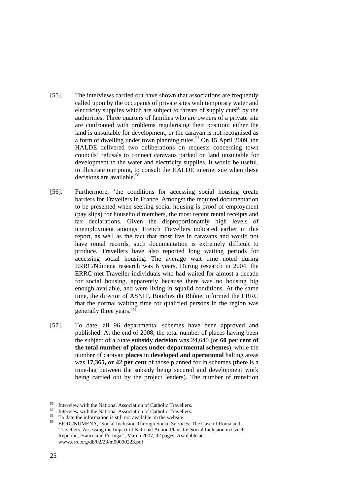- [55]. The interviews carried out have shown that associations are frequently called upon by the occupants of private sites with temporary water and electricity supplies which are subject to threats of supply cuts<sup>56</sup> by the authorities. Three quarters of families who are owners of a private site are confronted with problems regularising their position: either the land is unsuitable for development, or the caravan is not recognised as a form of dwelling under town planning rules.<sup>57</sup> On 15 April 2009, the HALDE delivered two deliberations on requests concerning town councils' refusals to connect caravans parked on land unsuitable for development to the water and electricity supplies. It would be useful, to illustrate our point, to consult the HALDE internet site when these decisions are available.<sup>[58](#page-24-2)</sup>
- [56]. Furthermore, 'the conditions for accessing social housing create barriers for Travellers in France. Amongst the required documentation to be presented when seeking social housing is proof of employment (pay slips) for household members, the most recent rental receipts and tax declarations. Given the disproportionately high levels of unemployment amongst French Travellers indicated earlier in this report, as well as the fact that most live in caravans and would not have rental records, such documentation is extremely difficult to produce. Travellers have also reported long waiting periods for accessing social housing. The average wait time noted during ERRC/Númena research was 6 years. During research in 2004, the ERRC met Traveller individuals who had waited for almost a decade for social housing, apparently because there was no housing big enough available, and were living in squalid conditions. At the same time, the director of ASNIT, Bouches du Rhône, informed the ERRC that the normal waiting time for qualified persons in the region was generally three years.'[59](#page-24-3)
- [57]. To date, all 96 departmental schemes have been approved and published. At the end of 2008, the total number of places having been the subject of a State **subsidy decision** was 24,640 (or **60 per cent of the total number of places under departmental schemes**), while the number of caravan **places** in **developed and operational** halting areas was **17,365, or 42 per cent** of those planned for in schemes (there is a time-lag between the subsidy being secured and development work being carried out by the project leaders). The number of transition

<span id="page-24-0"></span>

<span id="page-24-1"></span>

<span id="page-24-3"></span><span id="page-24-2"></span>

<sup>&</sup>lt;sup>56</sup> Interview with the National Association of Catholic Travellers.<br><sup>57</sup> Interview with the National Association of Catholic Travellers.<br><sup>58</sup> To date the information is still not available on the website.<br><sup>59</sup> ERRC/NUMENA Travellers. Assessing the Impact of National Action Plans for Social Inclusion in Czech Republic, France and Portugal', March 2007, 92 pages. Available at: www.errc.org/db/02/23/m00000223.pdf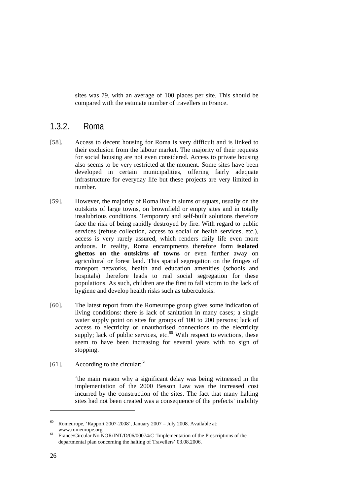<span id="page-25-0"></span>sites was 79, with an average of 100 places per site. This should be compared with the estimate number of travellers in France.

### 1.3.2. Roma

- [58]. Access to decent housing for Roma is very difficult and is linked to their exclusion from the labour market. The majority of their requests for social housing are not even considered. Access to private housing also seems to be very restricted at the moment. Some sites have been developed in certain municipalities, offering fairly adequate infrastructure for everyday life but these projects are very limited in number.
- [59]. However, the majority of Roma live in slums or squats, usually on the outskirts of large towns, on brownfield or empty sites and in totally insalubrious conditions. Temporary and self-built solutions therefore face the risk of being rapidly destroyed by fire. With regard to public services (refuse collection, access to social or health services, etc.), access is very rarely assured, which renders daily life even more arduous. In reality, Roma encampments therefore form **isolated ghettos on the outskirts of towns** or even further away on agricultural or forest land. This spatial segregation on the fringes of transport networks, health and education amenities (schools and hospitals) therefore leads to real social segregation for these populations. As such, children are the first to fall victim to the lack of hygiene and develop health risks such as tuberculosis.
- [60]. The latest report from the Romeurope group gives some indication of living conditions: there is lack of sanitation in many cases; a single water supply point on sites for groups of 100 to 200 persons; lack of access to electricity or unauthorised connections to the electricity supply; lack of public services, etc. $^{60}$  With respect to evictions, these seem to have been increasing for several years with no sign of stopping.
- [[61](#page-25-2)]. According to the circular: $61$

'the main reason why a significant delay was being witnessed in the implementation of the 2000 Besson Law was the increased cost incurred by the construction of the sites. The fact that many halting sites had not been created was a consequence of the prefects' inability

<span id="page-25-1"></span> $60$  Romeurope, 'Rapport 2007-2008', January 2007 – July 2008. Available at:

<span id="page-25-2"></span>www.romeurope.org.<br><sup>61</sup> France/Circular No NOR/INT/D/06/00074/C 'Implementation of the Prescriptions of the departmental plan concerning the halting of Travellers' 03.08.2006.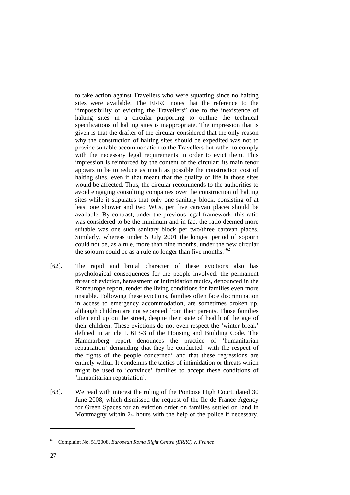to take action against Travellers who were squatting since no halting sites were available. The ERRC notes that the reference to the "impossibility of evicting the Travellers" due to the inexistence of halting sites in a circular purporting to outline the technical specifications of halting sites is inappropriate. The impression that is given is that the drafter of the circular considered that the only reason why the construction of halting sites should be expedited was not to provide suitable accommodation to the Travellers but rather to comply with the necessary legal requirements in order to evict them. This impression is reinforced by the content of the circular: its main tenor appears to be to reduce as much as possible the construction cost of halting sites, even if that meant that the quality of life in those sites would be affected. Thus, the circular recommends to the authorities to avoid engaging consulting companies over the construction of halting sites while it stipulates that only one sanitary block, consisting of at least one shower and two WCs, per five caravan places should be available. By contrast, under the previous legal framework, this ratio was considered to be the minimum and in fact the ratio deemed more suitable was one such sanitary block per two/three caravan places. Similarly, whereas under 5 July 2001 the longest period of sojourn could not be, as a rule, more than nine months, under the new circular the sojourn could be as a rule no longer than five months.<sup>52</sup>

- [62]. The rapid and brutal character of these evictions also has psychological consequences for the people involved: the permanent threat of eviction, harassment or intimidation tactics, denounced in the Romeurope report, render the living conditions for families even more unstable. Following these evictions, families often face discrimination in access to emergency accommodation, are sometimes broken up, although children are not separated from their parents. Those families often end up on the street, despite their state of health of the age of their children. These evictions do not even respect the 'winter break' defined in article L 613-3 of the Housing and Building Code. The Hammarberg report denounces the practice of 'humanitarian repatriation' demanding that they be conducted 'with the respect of the rights of the people concerned' and that these regressions are entirely wilful. It condemns the tactics of intimidation or threats which might be used to 'convince' families to accept these conditions of 'humanitarian repatriation'.
- [63]. We read with interest the ruling of the Pontoise High Court, dated 30 June 2008, which dismissed the request of the Ile de France Agency for Green Spaces for an eviction order on families settled on land in Montmagny within 24 hours with the help of the police if necessary,

<span id="page-26-0"></span><sup>62</sup> Complaint No. 51/2008, *European Roma Right Centre (ERRC) v. France*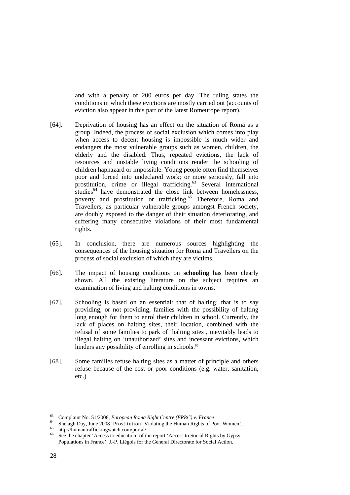and with a penalty of 200 euros per day. The ruling states the conditions in which these evictions are mostly carried out (accounts of eviction also appear in this part of the latest Romeurope report).

- [64]. Deprivation of housing has an effect on the situation of Roma as a group. Indeed, the process of social exclusion which comes into play when access to decent housing is impossible is much wider and endangers the most vulnerable groups such as women, children, the elderly and the disabled. Thus, repeated evictions, the lack of resources and unstable living conditions render the schooling of children haphazard or impossible. Young people often find themselves poor and forced into undeclared work; or more seriously, fall into prostitution, crime or illegal trafficking.<sup>63</sup> Several international studies<sup>64</sup> have demonstrated the close link between homelessness, poverty and prostitution or trafficking.<sup>65</sup> Therefore, Roma and Travellers, as particular vulnerable groups amongst French society, are doubly exposed to the danger of their situation deteriorating, and suffering many consecutive violations of their most fundamental rights.
- [65]. In conclusion, there are numerous sources highlighting the consequences of the housing situation for Roma and Travellers on the process of social exclusion of which they are victims.
- [66]. The impact of housing conditions on **schooling** has been clearly shown. All the existing literature on the subject requires an examination of living and halting conditions in towns.
- [67]. Schooling is based on an essential: that of halting; that is to say providing, or not providing, families with the possibility of halting long enough for them to enrol their children in school. Currently, the lack of places on halting sites, their location, combined with the refusal of some families to park of 'halting sites', inevitably leads to illegal halting on 'unauthorized' sites and incessant evictions, which hinders any possibility of enrolling in schools.<sup>[66](#page-27-3)</sup>
- [68]. Some families refuse halting sites as a matter of principle and others refuse because of the cost or poor conditions (e.g. water, sanitation, etc.)

 $\overline{a}$ 

<span id="page-27-1"></span><span id="page-27-0"></span>

<sup>&</sup>lt;sup>63</sup> Complaint No. 51/2008, *European Roma Right Centre (ERRC)* v. *France*<br><sup>64</sup> Shelagh Day, June 2008 'Prostitution: Violating the Human Rights of Poor Women'.<br><sup>65</sup> http://humantraffickingwatch.com/portal/<br><sup>66</sup> See the

<span id="page-27-2"></span>

<span id="page-27-3"></span>Populations in France', J.-P. Liégois for the General Directorate for Social Action.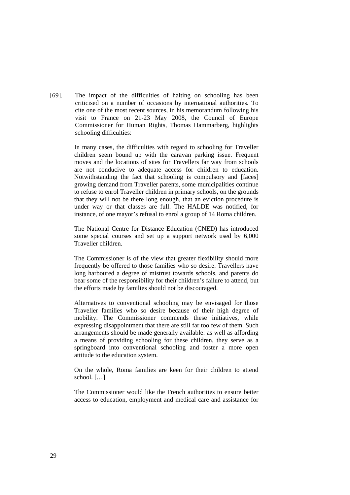[69]. The impact of the difficulties of halting on schooling has been criticised on a number of occasions by international authorities. To cite one of the most recent sources, in his memorandum following his visit to France on 21-23 May 2008, the Council of Europe Commissioner for Human Rights, Thomas Hammarberg, highlights schooling difficulties:

> In many cases, the difficulties with regard to schooling for Traveller children seem bound up with the caravan parking issue. Frequent moves and the locations of sites for Travellers far way from schools are not conducive to adequate access for children to education. Notwithstanding the fact that schooling is compulsory and [faces] growing demand from Traveller parents, some municipalities continue to refuse to enrol Traveller children in primary schools, on the grounds that they will not be there long enough, that an eviction procedure is under way or that classes are full. The HALDE was notified, for instance, of one mayor's refusal to enrol a group of 14 Roma children.

> The National Centre for Distance Education (CNED) has introduced some special courses and set up a support network used by 6,000 Traveller children.

> The Commissioner is of the view that greater flexibility should more frequently be offered to those families who so desire. Travellers have long harboured a degree of mistrust towards schools, and parents do bear some of the responsibility for their children's failure to attend, but the efforts made by families should not be discouraged.

> Alternatives to conventional schooling may be envisaged for those Traveller families who so desire because of their high degree of mobility. The Commissioner commends these initiatives, while expressing disappointment that there are still far too few of them. Such arrangements should be made generally available: as well as affording a means of providing schooling for these children, they serve as a springboard into conventional schooling and foster a more open attitude to the education system.

> On the whole, Roma families are keen for their children to attend school. […]

> The Commissioner would like the French authorities to ensure better access to education, employment and medical care and assistance for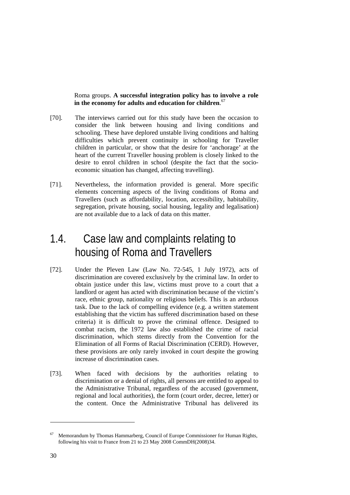<span id="page-29-0"></span>Roma groups. **A successful integration policy has to involve a role in the economy for adults and education for children**. [67](#page-29-1)

- [70]. The interviews carried out for this study have been the occasion to consider the link between housing and living conditions and schooling. These have deplored unstable living conditions and halting difficulties which prevent continuity in schooling for Traveller children in particular, or show that the desire for 'anchorage' at the heart of the current Traveller housing problem is closely linked to the desire to enrol children in school (despite the fact that the socioeconomic situation has changed, affecting travelling).
- [71]. Nevertheless, the information provided is general. More specific elements concerning aspects of the living conditions of Roma and Travellers (such as affordability, location, accessibility, habitability, segregation, private housing, social housing, legality and legalisation) are not available due to a lack of data on this matter.

# 1.4. Case law and complaints relating to housing of Roma and Travellers

- [72]. Under the Pleven Law (Law No. 72-545, 1 July 1972), acts of discrimination are covered exclusively by the criminal law. In order to obtain justice under this law, victims must prove to a court that a landlord or agent has acted with discrimination because of the victim's race, ethnic group, nationality or religious beliefs. This is an arduous task. Due to the lack of compelling evidence (e.g. a written statement establishing that the victim has suffered discrimination based on these criteria) it is difficult to prove the criminal offence. Designed to combat racism, the 1972 law also established the crime of racial discrimination, which stems directly from the Convention for the Elimination of all Forms of Racial Discrimination (CERD). However, these provisions are only rarely invoked in court despite the growing increase of discrimination cases.
- [73]. When faced with decisions by the authorities relating to discrimination or a denial of rights, all persons are entitled to appeal to the Administrative Tribunal, regardless of the accused (government, regional and local authorities), the form (court order, decree, letter) or the content. Once the Administrative Tribunal has delivered its

 $\overline{a}$ 

<span id="page-29-1"></span><sup>67</sup> Memorandum by Thomas Hammarberg, Council of Europe Commissioner for Human Rights, following his visit to France from 21 to 23 May 2008 CommDH(2008)34.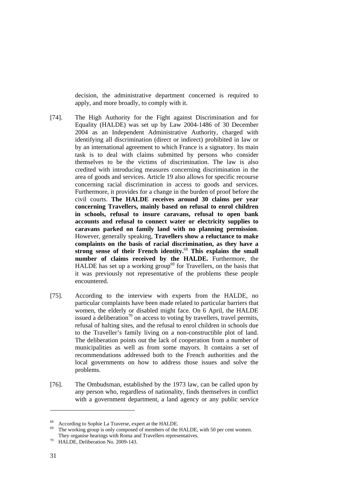decision, the administrative department concerned is required to apply, and more broadly, to comply with it.

- [74]. The High Authority for the Fight against Discrimination and for Equality (HALDE) was set up by Law 2004-1486 of 30 December 2004 as an Independent Administrative Authority, charged with identifying all discrimination (direct or indirect) prohibited in law or by an international agreement to which France is a signatory. Its main task is to deal with claims submitted by persons who consider themselves to be the victims of discrimination. The law is also credited with introducing measures concerning discrimination in the area of goods and services. Article 19 also allows for specific recourse concerning racial discrimination in access to goods and services. Furthermore, it provides for a change in the burden of proof before the civil courts. **The HALDE receives around 30 claims per year concerning Travellers, mainly based on refusal to enrol children in schools, refusal to insure caravans, refusal to open bank accounts and refusal to connect water or electricity supplies to caravans parked on family land with no planning permission**. However, generally speaking, **Travellers show a reluctance to make complaints on the basis of racial discrimination, as they have a strong sense of their French identity.** [68](#page-30-0) **This explains the small number of claims received by the HALDE.** Furthermore, the HALDE has set up a working group<sup>69</sup> for Travellers, on the basis that it was previously not representative of the problems these people encountered.
- [75]. According to the interview with experts from the HALDE, no particular complaints have been made related to particular barriers that women, the elderly or disabled might face. On 6 April, the HALDE issued a deliberation<sup>70</sup> on access to voting by travellers, travel permits, refusal of halting sites, and the refusal to enrol children in schools due to the Traveller's family living on a non-constructible plot of land. The deliberation points out the lack of cooperation from a number of municipalities as well as from some mayors. It contains a set of recommendations addressed both to the French authorities and the local governments on how to address those issues and solve the problems.
- [76]. The Ombudsman, established by the 1973 law, can be called upon by any person who, regardless of nationality, finds themselves in conflict with a government department, a land agency or any public service

<span id="page-30-1"></span><span id="page-30-0"></span>

<sup>&</sup>lt;sup>68</sup> According to Sophie La Traverse, expert at the HALDE.<br><sup>69</sup> The working group is only composed of members of the HALDE, with 50 per cent women. They organise hearings with Roma and Travellers representatives.<br><sup>70</sup> HALDE, Deliberation No. 2009-143.

<span id="page-30-2"></span>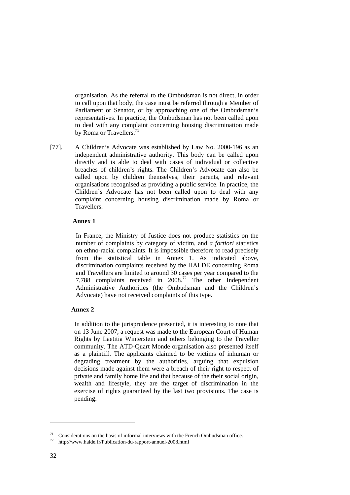organisation. As the referral to the Ombudsman is not direct, in order to call upon that body, the case must be referred through a Member of Parliament or Senator, or by approaching one of the Ombudsman's representatives. In practice, the Ombudsman has not been called upon to deal with any complaint concerning housing discrimination made by Roma or Travellers.<sup>[71](#page-31-0)</sup>

[77]. A Children's Advocate was established by Law No. 2000-196 as an independent administrative authority. This body can be called upon directly and is able to deal with cases of individual or collective breaches of children's rights. The Children's Advocate can also be called upon by children themselves, their parents, and relevant organisations recognised as providing a public service. In practice, the Children's Advocate has not been called upon to deal with any complaint concerning housing discrimination made by Roma or Travellers.

#### **Annex 1**

In France, the Ministry of Justice does not produce statistics on the number of complaints by category of victim, and *a fortiori* statistics on ethno-racial complaints. It is impossible therefore to read precisely from the statistical table in Annex 1. As indicated above, discrimination complaints received by the HALDE concerning Roma and Travellers are limited to around 30 cases per year compared to the 7,788 complaints received in 2008.<sup>72</sup> The other Independent Administrative Authorities (the Ombudsman and the Children's Advocate) have not received complaints of this type.

#### **Annex 2**

In addition to the jurisprudence presented, it is interesting to note that on 13 June 2007, a request was made to the European Court of Human Rights by Laetitia Winterstein and others belonging to the Traveller community. The ATD-Quart Monde organisation also presented itself as a plaintiff. The applicants claimed to be victims of inhuman or degrading treatment by the authorities, arguing that expulsion decisions made against them were a breach of their right to respect of private and family home life and that because of the their social origin, wealth and lifestyle, they are the target of discrimination in the exercise of rights guaranteed by the last two provisions. The case is pending.

 $\overline{a}$ 

<span id="page-31-0"></span><sup>&</sup>lt;sup>71</sup> Considerations on the basis of informal interviews with the French Ombudsman office.  $\frac{1}{2}$  http://www.halde.fr/Publication-du-rapport-annuel-2008.html

<span id="page-31-1"></span>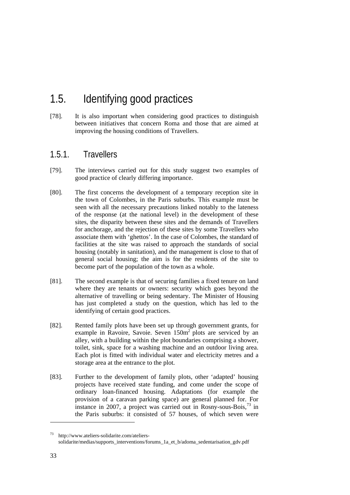# <span id="page-32-0"></span>1.5. Identifying good practices

[78]. It is also important when considering good practices to distinguish between initiatives that concern Roma and those that are aimed at improving the housing conditions of Travellers.

### 1.5.1. Travellers

- [79]. The interviews carried out for this study suggest two examples of good practice of clearly differing importance.
- [80]. The first concerns the development of a temporary reception site in the town of Colombes, in the Paris suburbs. This example must be seen with all the necessary precautions linked notably to the lateness of the response (at the national level) in the development of these sites, the disparity between these sites and the demands of Travellers for anchorage, and the rejection of these sites by some Travellers who associate them with 'ghettos'. In the case of Colombes, the standard of facilities at the site was raised to approach the standards of social housing (notably in sanitation), and the management is close to that of general social housing; the aim is for the residents of the site to become part of the population of the town as a whole.
- [81]. The second example is that of securing families a fixed tenure on land where they are tenants or owners: security which goes beyond the alternative of travelling or being sedentary. The Minister of Housing has just completed a study on the question, which has led to the identifying of certain good practices.
- [82]. Rented family plots have been set up through government grants, for example in Ravoire, Savoie. Seven  $150m^2$  plots are serviced by an alley, with a building within the plot boundaries comprising a shower, toilet, sink, space for a washing machine and an outdoor living area. Each plot is fitted with individual water and electricity metres and a storage area at the entrance to the plot.
- [83]. Further to the development of family plots, other 'adapted' housing projects have received state funding, and come under the scope of ordinary loan-financed housing. Adaptations (for example the provision of a caravan parking space) are general planned for. For instance in 2007, a project was carried out in Rosny-sous-Bois, $^{73}$  in the Paris suburbs: it consisted of 57 houses, of which seven were

 $\overline{a}$ 

<span id="page-32-1"></span>http://www.ateliers-solidarite.com/atelierssolidarite/medias/supports\_interventions/forums\_1a\_et\_b/adoma\_sedentarisation\_gdv.pdf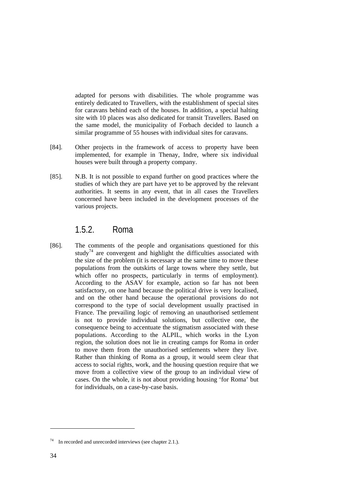<span id="page-33-0"></span>adapted for persons with disabilities. The whole programme was entirely dedicated to Travellers, with the establishment of special sites for caravans behind each of the houses. In addition, a special halting site with 10 places was also dedicated for transit Travellers. Based on the same model, the municipality of Forbach decided to launch a similar programme of 55 houses with individual sites for caravans.

- [84]. Other projects in the framework of access to property have been implemented, for example in Thenay, Indre, where six individual houses were built through a property company.
- [85]. N.B. It is not possible to expand further on good practices where the studies of which they are part have yet to be approved by the relevant authorities. It seems in any event, that in all cases the Travellers concerned have been included in the development processes of the various projects.

### 1.5.2. Roma

[86]. The comments of the people and organisations questioned for this study<sup>74</sup> are convergent and highlight the difficulties associated with the size of the problem (it is necessary at the same time to move these populations from the outskirts of large towns where they settle, but which offer no prospects, particularly in terms of employment). According to the ASAV for example, action so far has not been satisfactory, on one hand because the political drive is very localised, and on the other hand because the operational provisions do not correspond to the type of social development usually practised in France. The prevailing logic of removing an unauthorised settlement is not to provide individual solutions, but collective one, the consequence being to accentuate the stigmatism associated with these populations. According to the ALPIL, which works in the Lyon region, the solution does not lie in creating camps for Roma in order to move them from the unauthorised settlements where they live. Rather than thinking of Roma as a group, it would seem clear that access to social rights, work, and the housing question require that we move from a collective view of the group to an individual view of cases. On the whole, it is not about providing housing 'for Roma' but for individuals, on a case-by-case basis.

<span id="page-33-1"></span><sup>74</sup> In recorded and unrecorded interviews (see chapter 2.1.).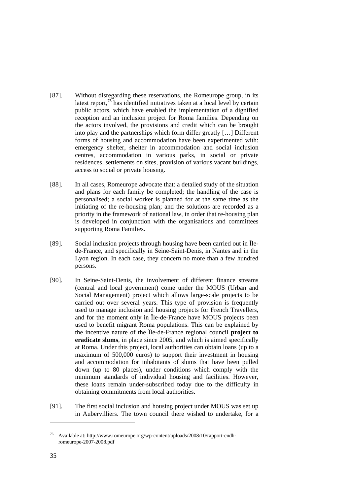- [87]. Without disregarding these reservations, the Romeurope group, in its latest report, $\frac{75}{12}$  has identified initiatives taken at a local level by certain public actors, which have enabled the implementation of a dignified reception and an inclusion project for Roma families. Depending on the actors involved, the provisions and credit which can be brought into play and the partnerships which form differ greatly […] Different forms of housing and accommodation have been experimented with: emergency shelter, shelter in accommodation and social inclusion centres, accommodation in various parks, in social or private residences, settlements on sites, provision of various vacant buildings, access to social or private housing.
- [88]. In all cases, Romeurope advocate that: a detailed study of the situation and plans for each family be completed; the handling of the case is personalised; a social worker is planned for at the same time as the initiating of the re-housing plan; and the solutions are recorded as a priority in the framework of national law, in order that re-housing plan is developed in conjunction with the organisations and committees supporting Roma Families.
- [89]. Social inclusion projects through housing have been carried out in Îlede-France, and specifically in Seine-Saint-Denis, in Nantes and in the Lyon region. In each case, they concern no more than a few hundred persons.
- [90]. In Seine-Saint-Denis, the involvement of different finance streams (central and local government) come under the MOUS (Urban and Social Management) project which allows large-scale projects to be carried out over several years. This type of provision is frequently used to manage inclusion and housing projects for French Travellers, and for the moment only in Île-de-France have MOUS projects been used to benefit migrant Roma populations. This can be explained by the incentive nature of the Île-de-France regional council **project to eradicate slums**, in place since 2005, and which is aimed specifically at Roma. Under this project, local authorities can obtain loans (up to a maximum of 500,000 euros) to support their investment in housing and accommodation for inhabitants of slums that have been pulled down (up to 80 places), under conditions which comply with the minimum standards of individual housing and facilities. However, these loans remain under-subscribed today due to the difficulty in obtaining commitments from local authorities.
- [91]. The first social inclusion and housing project under MOUS was set up in Aubervilliers. The town council there wished to undertake, for a

<span id="page-34-0"></span>Available at: http://www.romeurope.org/wp-content/uploads/2008/10/rapport-cndhromeurope-2007-2008.pdf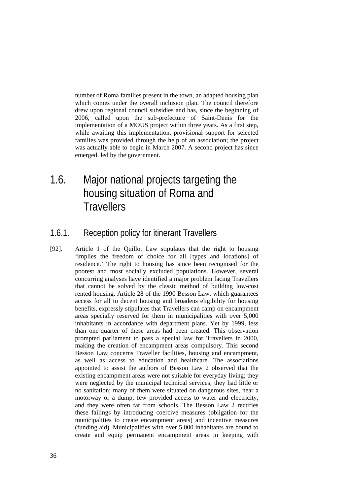<span id="page-35-0"></span>number of Roma families present in the town, an adapted housing plan which comes under the overall inclusion plan. The council therefore drew upon regional council subsidies and has, since the beginning of 2006, called upon the sub-prefecture of Saint-Denis for the implementation of a MOUS project within three years. As a first step, while awaiting this implementation, provisional support for selected families was provided through the help of an association; the project was actually able to begin in March 2007. A second project has since emerged, led by the government.

1.6. Major national projects targeting the housing situation of Roma and **Travellers** 

### 1.6.1. Reception policy for itinerant Travellers

[92]. Article 1 of the Quillot Law stipulates that the right to housing 'implies the freedom of choice for all [types and locations] of residence.' The right to housing has since been recognised for the poorest and most socially excluded populations. However, several concurring analyses have identified a major problem facing Travellers that cannot be solved by the classic method of building low-cost rented housing. Article 28 of the 1990 Besson Law, which guarantees access for all to decent housing and broadens eligibility for housing benefits, expressly stipulates that Travellers can camp on encampment areas specially reserved for them in municipalities with over 5,000 inhabitants in accordance with department plans. Yet by 1999, less than one-quarter of these areas had been created. This observation prompted parliament to pass a special law for Travellers in 2000, making the creation of encampment areas compulsory. This second Besson Law concerns Traveller facilities, housing and encampment, as well as access to education and healthcare. The associations appointed to assist the authors of Besson Law 2 observed that the existing encampment areas were not suitable for everyday living; they were neglected by the municipal technical services; they had little or no sanitation; many of them were situated on dangerous sites, near a motorway or a dump; few provided access to water and electricity, and they were often far from schools. The Besson Law 2 rectifies these failings by introducing coercive measures (obligation for the municipalities to create encampment areas) and incentive measures (funding aid). Municipalities with over 5,000 inhabitants are bound to create and equip permanent encampment areas in keeping with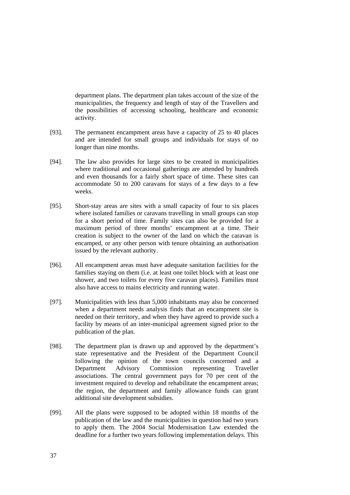department plans. The department plan takes account of the size of the municipalities, the frequency and length of stay of the Travellers and the possibilities of accessing schooling, healthcare and economic activity.

- [93]. The permanent encampment areas have a capacity of 25 to 40 places and are intended for small groups and individuals for stays of no longer than nine months.
- [94]. The law also provides for large sites to be created in municipalities where traditional and occasional gatherings are attended by hundreds and even thousands for a fairly short space of time. These sites can accommodate 50 to 200 caravans for stays of a few days to a few weeks.
- [95]. Short-stay areas are sites with a small capacity of four to six places where isolated families or caravans travelling in small groups can stop for a short period of time. Family sites can also be provided for a maximum period of three months' encampment at a time. Their creation is subject to the owner of the land on which the caravan is encamped, or any other person with tenure obtaining an authorisation issued by the relevant authority.
- [96]. All encampment areas must have adequate sanitation facilities for the families staying on them (i.e. at least one toilet block with at least one shower, and two toilets for every five caravan places). Families must also have access to mains electricity and running water.
- [97]. Municipalities with less than 5,000 inhabitants may also be concerned when a department needs analysis finds that an encampment site is needed on their territory, and when they have agreed to provide such a facility by means of an inter-municipal agreement signed prior to the publication of the plan.
- [98]. The department plan is drawn up and approved by the department's state representative and the President of the Department Council following the opinion of the town councils concerned and a Department Advisory Commission representing Traveller associations. The central government pays for 70 per cent of the investment required to develop and rehabilitate the encampment areas: the region, the department and family allowance funds can grant additional site development subsidies.
- [99]. All the plans were supposed to be adopted within 18 months of the publication of the law and the municipalities in question had two years to apply them. The 2004 Social Modernisation Law extended the deadline for a further two years following implementation delays. This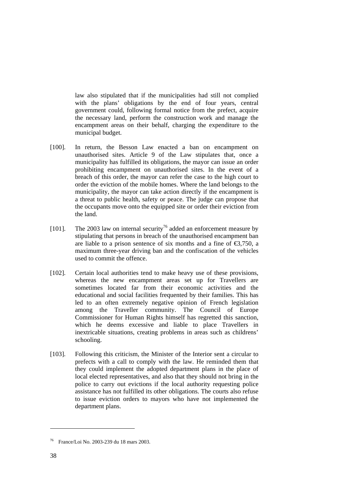law also stipulated that if the municipalities had still not complied with the plans' obligations by the end of four years, central government could, following formal notice from the prefect, acquire the necessary land, perform the construction work and manage the encampment areas on their behalf, charging the expenditure to the municipal budget.

- [100]. In return, the Besson Law enacted a ban on encampment on unauthorised sites. Article 9 of the Law stipulates that, once a municipality has fulfilled its obligations, the mayor can issue an order prohibiting encampment on unauthorised sites. In the event of a breach of this order, the mayor can refer the case to the high court to order the eviction of the mobile homes. Where the land belongs to the municipality, the mayor can take action directly if the encampment is a threat to public health, safety or peace. The judge can propose that the occupants move onto the equipped site or order their eviction from the land.
- [101]. The 2003 law on internal security<sup>76</sup> added an enforcement measure by stipulating that persons in breach of the unauthorised encampment ban are liable to a prison sentence of six months and a fine of  $\epsilon$ 3,750, a maximum three-year driving ban and the confiscation of the vehicles used to commit the offence.
- [102]. Certain local authorities tend to make heavy use of these provisions, whereas the new encampment areas set up for Travellers are sometimes located far from their economic activities and the educational and social facilities frequented by their families. This has led to an often extremely negative opinion of French legislation among the Traveller community. The Council of Europe Commissioner for Human Rights himself has regretted this sanction, which he deems excessive and liable to place Travellers in inextricable situations, creating problems in areas such as childrens' schooling.
- [103]. Following this criticism, the Minister of the Interior sent a circular to prefects with a call to comply with the law. He reminded them that they could implement the adopted department plans in the place of local elected representatives, and also that they should not bring in the police to carry out evictions if the local authority requesting police assistance has not fulfilled its other obligations. The courts also refuse to issue eviction orders to mayors who have not implemented the department plans.

<span id="page-37-0"></span><sup>76</sup> France/Loi No. 2003-239 du 18 mars 2003.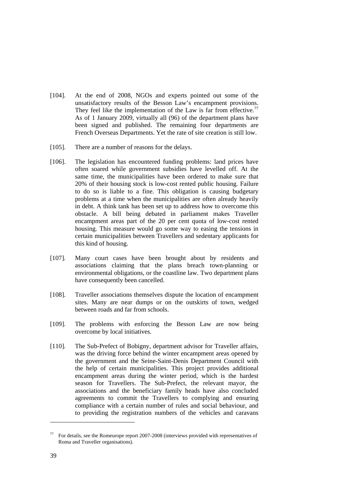- [104]. At the end of 2008, NGOs and experts pointed out some of the unsatisfactory results of the Besson Law's encampment provisions. They feel like the implementation of the Law is far from effective.<sup>[77](#page-38-0)</sup> As of 1 January 2009, virtually all (96) of the department plans have been signed and published. The remaining four departments are French Overseas Departments. Yet the rate of site creation is still low.
- [105]. There are a number of reasons for the delays.
- [106]. The legislation has encountered funding problems: land prices have often soared while government subsidies have levelled off. At the same time, the municipalities have been ordered to make sure that 20% of their housing stock is low-cost rented public housing. Failure to do so is liable to a fine. This obligation is causing budgetary problems at a time when the municipalities are often already heavily in debt. A think tank has been set up to address how to overcome this obstacle. A bill being debated in parliament makes Traveller encampment areas part of the 20 per cent quota of low-cost rented housing. This measure would go some way to easing the tensions in certain municipalities between Travellers and sedentary applicants for this kind of housing.
- [107]. Many court cases have been brought about by residents and associations claiming that the plans breach town-planning or environmental obligations, or the coastline law. Two department plans have consequently been cancelled.
- [108]. Traveller associations themselves dispute the location of encampment sites. Many are near dumps or on the outskirts of town, wedged between roads and far from schools.
- [109]. The problems with enforcing the Besson Law are now being overcome by local initiatives.
- [110]. The Sub-Prefect of Bobigny, department advisor for Traveller affairs, was the driving force behind the winter encampment areas opened by the government and the Seine-Saint-Denis Department Council with the help of certain municipalities. This project provides additional encampment areas during the winter period, which is the hardest season for Travellers. The Sub-Prefect, the relevant mayor, the associations and the beneficiary family heads have also concluded agreements to commit the Travellers to complying and ensuring compliance with a certain number of rules and social behaviour, and to providing the registration numbers of the vehicles and caravans

<span id="page-38-0"></span><sup>77</sup> For details, see the Romeurope report 2007-2008 (interviews provided with representatives of Roma and Traveller organisations).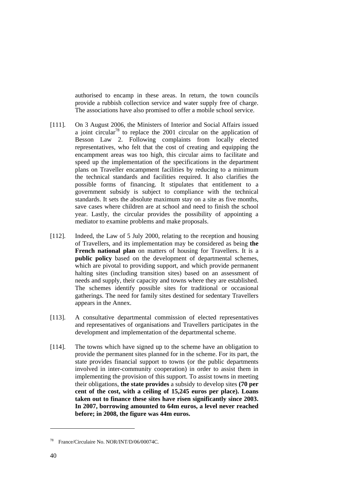authorised to encamp in these areas. In return, the town councils provide a rubbish collection service and water supply free of charge. The associations have also promised to offer a mobile school service.

- [111]. On 3 August 2006, the Ministers of Interior and Social Affairs issued a joint circular<sup>78</sup> to replace the 2001 circular on the application of Besson Law 2. Following complaints from locally elected representatives, who felt that the cost of creating and equipping the encampment areas was too high, this circular aims to facilitate and speed up the implementation of the specifications in the department plans on Traveller encampment facilities by reducing to a minimum the technical standards and facilities required. It also clarifies the possible forms of financing. It stipulates that entitlement to a government subsidy is subject to compliance with the technical standards. It sets the absolute maximum stay on a site as five months, save cases where children are at school and need to finish the school year. Lastly, the circular provides the possibility of appointing a mediator to examine problems and make proposals.
- [112]. Indeed, the Law of 5 July 2000, relating to the reception and housing of Travellers, and its implementation may be considered as being **the French national plan** on matters of housing for Travellers. It is a **public policy** based on the development of departmental schemes, which are pivotal to providing support, and which provide permanent halting sites (including transition sites) based on an assessment of needs and supply, their capacity and towns where they are established. The schemes identify possible sites for traditional or occasional gatherings. The need for family sites destined for sedentary Travellers appears in the Annex.
- [113]. A consultative departmental commission of elected representatives and representatives of organisations and Travellers participates in the development and implementation of the departmental scheme.
- [114]. The towns which have signed up to the scheme have an obligation to provide the permanent sites planned for in the scheme. For its part, the state provides financial support to towns (or the public departments involved in inter-community cooperation) in order to assist them in implementing the provision of this support. To assist towns in meeting their obligations, **the state provides** a subsidy to develop sites **(70 per cent of the cost, with a ceiling of 15,245 euros per place). Loans taken out to finance these sites have risen significantly since 2003. In 2007, borrowing amounted to 64m euros, a level never reached before; in 2008, the figure was 44m euros.**

<span id="page-39-0"></span><sup>78</sup> France/Circulaire No. NOR/INT/D/06/00074C.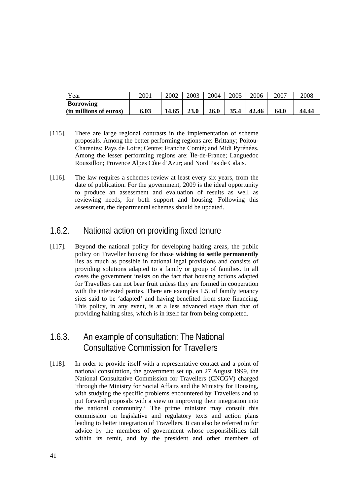<span id="page-40-0"></span>

| Year                   | 2001 | 2002  | 2003        | 2004        | 2005 | 2006  | 2007 | 2008  |
|------------------------|------|-------|-------------|-------------|------|-------|------|-------|
| <b>Borrowing</b>       |      |       |             |             |      |       |      |       |
| (in millions of euros) | 6.03 | 14.65 | <b>23.0</b> | <b>26.0</b> | 35.4 | 42.46 | 64.0 | 44.44 |

- [115]. There are large regional contrasts in the implementation of scheme proposals. Among the better performing regions are: Brittany; Poitou-Charentes; Pays de Loire; Centre; Franche Comté; and Midi Pyrénées. Among the lesser performing regions are: Île-de-France; Languedoc Roussillon; Provence Alpes Côte d'Azur; and Nord Pas de Calais.
- [116]. The law requires a schemes review at least every six years, from the date of publication. For the government, 2009 is the ideal opportunity to produce an assessment and evaluation of results as well as reviewing needs, for both support and housing. Following this assessment, the departmental schemes should be updated.

## 1.6.2. National action on providing fixed tenure

[117]. Beyond the national policy for developing halting areas, the public policy on Traveller housing for those **wishing to settle permanently** lies as much as possible in national legal provisions and consists of providing solutions adapted to a family or group of families. In all cases the government insists on the fact that housing actions adapted for Travellers can not bear fruit unless they are formed in cooperation with the interested parties. There are examples 1.5. of family tenancy sites said to be 'adapted' and having benefited from state financing. This policy, in any event, is at a less advanced stage than that of providing halting sites, which is in itself far from being completed.

## 1.6.3. An example of consultation: The National Consultative Commission for Travellers

[118]. In order to provide itself with a representative contact and a point of national consultation, the government set up, on 27 August 1999, the National Consultative Commission for Travellers (CNCGV) charged 'through the Ministry for Social Affairs and the Ministry for Housing, with studying the specific problems encountered by Travellers and to put forward proposals with a view to improving their integration into the national community.' The prime minister may consult this commission on legislative and regulatory texts and action plans leading to better integration of Travellers. It can also be referred to for advice by the members of government whose responsibilities fall within its remit, and by the president and other members of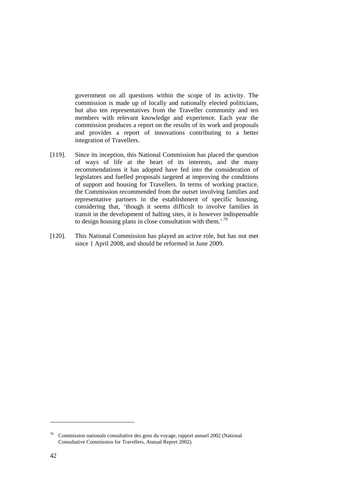government on all questions within the scope of its activity. The commission is made up of locally and nationally elected politicians, but also ten representatives from the Traveller community and ten members with relevant knowledge and experience. Each year the commission produces a report on the results of its work and proposals and provides a report of innovations contributing to a better integration of Travellers.

- [119]. Since its inception, this National Commission has placed the question of ways of life at the heart of its interests, and the many recommendations it has adopted have fed into the consideration of legislators and fuelled proposals targeted at improving the conditions of support and housing for Travellers. In terms of working practice, the Commission recommended from the outset involving families and representative partners in the establishment of specific housing, considering that, 'though it seems difficult to involve families in transit in the development of halting sites, it is however indispensable to design housing plans in close consultation with them.<sup>'[79](#page-41-0)</sup>
- [120]. This National Commission has played an active role, but has not met since 1 April 2008, and should be reformed in June 2009.

 $\overline{a}$ 

<span id="page-41-0"></span><sup>79</sup> Commission nationale consultative des gens du voyage, rapport annuel 2002 (National Consultative Commission for Travellers, Annual Report 2002).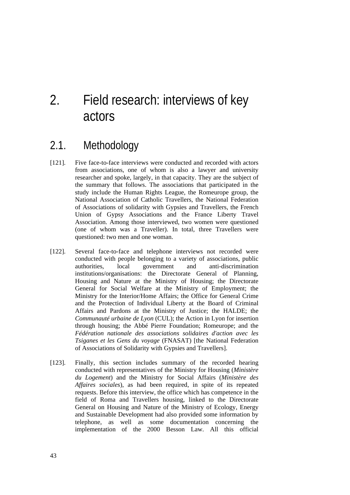# <span id="page-42-0"></span>2. Field research: interviews of key actors

## 2.1. Methodology

- [121]. Five face-to-face interviews were conducted and recorded with actors from associations, one of whom is also a lawyer and university researcher and spoke, largely, in that capacity. They are the subject of the summary that follows. The associations that participated in the study include the Human Rights League, the Romeurope group, the National Association of Catholic Travellers, the National Federation of Associations of solidarity with Gypsies and Travellers, the French Union of Gypsy Associations and the France Liberty Travel Association. Among those interviewed, two women were questioned (one of whom was a Traveller). In total, three Travellers were questioned: two men and one woman.
- [122]. Several face-to-face and telephone interviews not recorded were conducted with people belonging to a variety of associations, public authorities, local government and anti-discrimination institutions/organisations: the Directorate General of Planning, Housing and Nature at the Ministry of Housing; the Directorate General for Social Welfare at the Ministry of Employment; the Ministry for the Interior/Home Affairs; the Office for General Crime and the Protection of Individual Liberty at the Board of Criminal Affairs and Pardons at the Ministry of Justice; the HALDE; the *Communauté urbaine de Lyon* (CUL); the Action in Lyon for insertion through housing; the Abbé Pierre Foundation; Romeurope; and the *Fédération nationale des associations solidaires d'action avec les Tsiganes et les Gens du voyage* (FNASAT) [the National Federation of Associations of Solidarity with Gypsies and Travellers].
- [123]. Finally, this section includes summary of the recorded hearing conducted with representatives of the Ministry for Housing (*Ministère du Logement*) and the Ministry for Social Affairs (*Ministère des Affaires sociales*), as had been required, in spite of its repeated requests. Before this interview, the office which has competence in the field of Roma and Travellers housing, linked to the Directorate General on Housing and Nature of the Ministry of Ecology, Energy and Sustainable Development had also provided some information by telephone, as well as some documentation concerning the implementation of the 2000 Besson Law. All this official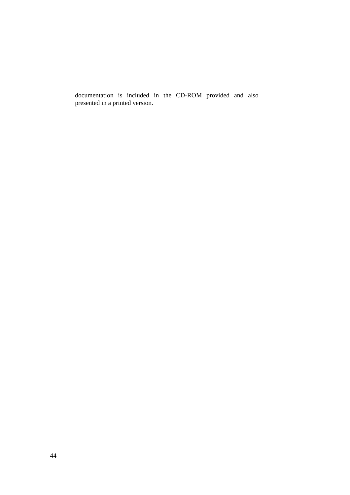documentation is included in the CD-ROM provided and also presented in a printed version.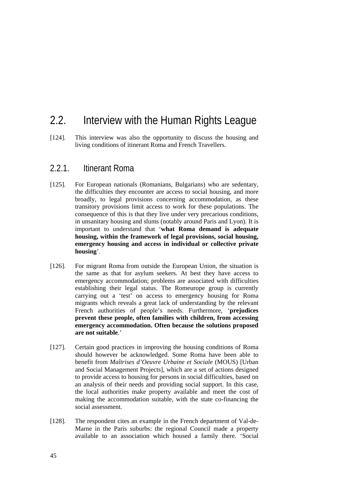## <span id="page-44-0"></span>2.2. Interview with the Human Rights League

[124]. This interview was also the opportunity to discuss the housing and living conditions of itinerant Roma and French Travellers.

### 2.2.1. Itinerant Roma

- [125]. For European nationals (Romanians, Bulgarians) who are sedentary, the difficulties they encounter are access to social housing, and more broadly, to legal provisions concerning accommodation, as these transitory provisions limit access to work for these populations. The consequence of this is that they live under very precarious conditions, in unsanitary housing and slums (notably around Paris and Lyon). It is important to understand that '**what Roma demand is adequate housing, within the framework of legal provisions, social housing, emergency housing and access in individual or collective private housing**'.
- [126]. For migrant Roma from outside the European Union, the situation is the same as that for asylum seekers. At best they have access to emergency accommodation; problems are associated with difficulties establishing their legal status. The Romeurope group is currently carrying out a 'test' on access to emergency housing for Roma migrants which reveals a great lack of understanding by the relevant French authorities of people's needs. Furthermore, '**prejudices prevent these people, often families with children, from accessing emergency accommodation. Often because the solutions proposed are not suitable**.'
- [127]. Certain good practices in improving the housing conditions of Roma should however be acknowledged. Some Roma have been able to benefit from *Maîtrises d'Oeuvre Urbaine et Sociale* (MOUS) [Urban and Social Management Projects], which are a set of actions designed to provide access to housing for persons in social difficulties, based on an analysis of their needs and providing social support. In this case, the local authorities make property available and meet the cost of making the accommodation suitable, with the state co-financing the social assessment.
- [128]. The respondent cites an example in the French department of Val-de-Marne in the Paris suburbs: the regional Council made a property available to an association which housed a family there. 'Social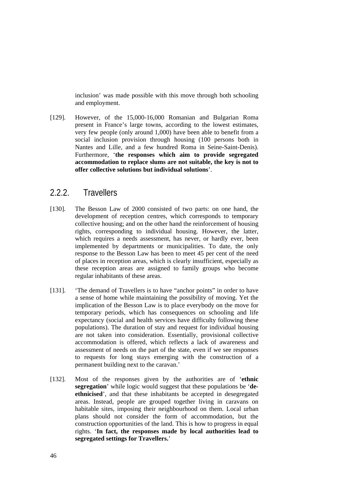<span id="page-45-0"></span>inclusion' was made possible with this move through both schooling and employment.

[129]. However, of the 15,000-16,000 Romanian and Bulgarian Roma present in France's large towns, according to the lowest estimates, very few people (only around 1,000) have been able to benefit from a social inclusion provision through housing (100 persons both in Nantes and Lille, and a few hundred Roma in Seine-Saint-Denis). Furthermore, '**the responses which aim to provide segregated accommodation to replace slums are not suitable, the key is not to offer collective solutions but individual solutions**'.

### 2.2.2. Travellers

- [130]. The Besson Law of 2000 consisted of two parts: on one hand, the development of reception centres, which corresponds to temporary collective housing; and on the other hand the reinforcement of housing rights, corresponding to individual housing. However, the latter, which requires a needs assessment, has never, or hardly ever, been implemented by departments or municipalities. To date, the only response to the Besson Law has been to meet 45 per cent of the need of places in reception areas, which is clearly insufficient, especially as these reception areas are assigned to family groups who become regular inhabitants of these areas.
- [131]. 'The demand of Travellers is to have "anchor points" in order to have a sense of home while maintaining the possibility of moving. Yet the implication of the Besson Law is to place everybody on the move for temporary periods, which has consequences on schooling and life expectancy (social and health services have difficulty following these populations). The duration of stay and request for individual housing are not taken into consideration. Essentially, provisional collective accommodation is offered, which reflects a lack of awareness and assessment of needs on the part of the state, even if we see responses to requests for long stays emerging with the construction of a permanent building next to the caravan.'
- [132]. Most of the responses given by the authorities are of '**ethnic segregation**' while logic would suggest that these populations be '**deethnicised**', and that these inhabitants be accepted in desegregated areas. Instead, people are grouped together living in caravans on habitable sites, imposing their neighbourhood on them. Local urban plans should not consider the form of accommodation, but the construction opportunities of the land. This is how to progress in equal rights. '**In fact, the responses made by local authorities lead to segregated settings for Travellers.**'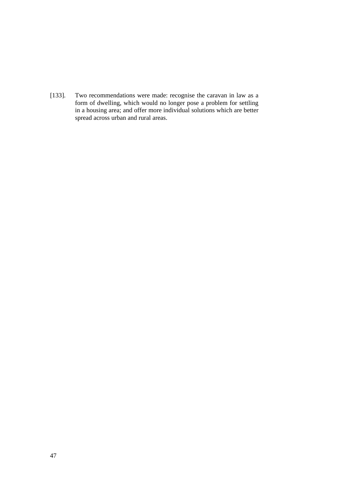[133]. Two recommendations were made: recognise the caravan in law as a form of dwelling, which would no longer pose a problem for settling in a housing area; and offer more individual solutions which are better spread across urban and rural areas.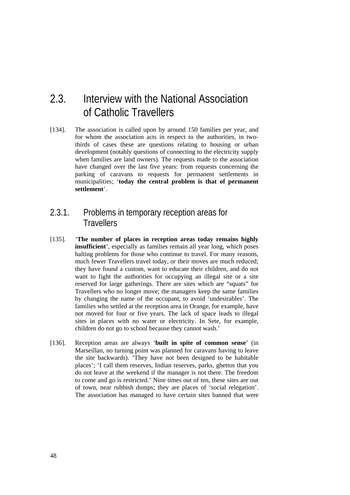# <span id="page-47-0"></span>2.3. Interview with the National Association of Catholic Travellers

[134]. The association is called upon by around 150 families per year, and for whom the association acts in respect to the authorities, in twothirds of cases these are questions relating to housing or urban development (notably questions of connecting to the electricity supply when families are land owners). The requests made to the association have changed over the last five years: from requests concerning the parking of caravans to requests for permanent settlements in municipalities; '**today the central problem is that of permanent settlement**'.

### 2.3.1. Problems in temporary reception areas for **Travellers**

- [135]. '**The number of places in reception areas today remains highly insufficient**', especially as families remain all year long, which poses halting problems for those who continue to travel. For many reasons, much fewer Travellers travel today, or their moves are much reduced; they have found a custom, want to educate their children, and do not want to fight the authorities for occupying an illegal site or a site reserved for large gatherings. There are sites which are "squats" for Travellers who no longer move; the managers keep the same families by changing the name of the occupant, to avoid 'undesirables'. The families who settled at the reception area in Orange, for example, have not moved for four or five years. The lack of space leads to illegal sites in places with no water or electricity. In Sete, for example, children do not go to school because they cannot wash.'
- [136]. Reception areas are always '**built in spite of common sense**' (in Marseillan, no turning point was planned for caravans having to leave the site backwards). 'They have not been designed to be habitable places'; 'I call them reserves, Indian reserves, parks, ghettos that you do not leave at the weekend if the manager is not there. The freedom to come and go is restricted.' Nine times out of ten, these sites are out of town, near rubbish dumps; they are places of 'social relegation'. The association has managed to have certain sites banned that were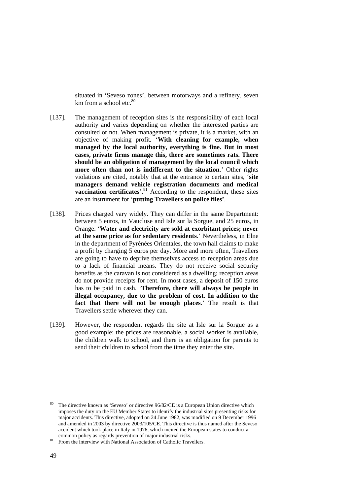situated in 'Seveso zones', between motorways and a refinery, seven km from a school etc. $80$ 

- [137]. The management of reception sites is the responsibility of each local authority and varies depending on whether the interested parties are consulted or not. When management is private, it is a market, with an objective of making profit*.* '**With cleaning for example, when managed by the local authority, everything is fine. But in most cases, private firms manage this, there are sometimes rats. There should be an obligation of management by the local council which more often than not is indifferent to the situation**.' Other rights violations are cited, notably that at the entrance to certain sites, '**site managers demand vehicle registration documents and medical vaccination certificates**<sup>'.81</sup> According to the respondent, these sites are an instrument for '**putting Travellers on police files'**.
- [138]. Prices charged vary widely. They can differ in the same Department: between 5 euros, in Vaucluse and Isle sur la Sorgue, and 25 euros, in Orange. '**Water and electricity are sold at exorbitant prices; never at the same price as for sedentary residents**.' Nevertheless, in Elne in the department of Pyrénées Orientales, the town hall claims to make a profit by charging 5 euros per day. More and more often, Travellers are going to have to deprive themselves access to reception areas due to a lack of financial means. They do not receive social security benefits as the caravan is not considered as a dwelling; reception areas do not provide receipts for rent. In most cases, a deposit of 150 euros has to be paid in cash. '**Therefore, there will always be people in illegal occupancy, due to the problem of cost. In addition to the fact that there will not be enough places**.' The result is that Travellers settle wherever they can.
- [139]. However, the respondent regards the site at Isle sur la Sorgue as a good example: the prices are reasonable, a social worker is available, the children walk to school, and there is an obligation for parents to send their children to school from the time they enter the site.

<span id="page-48-0"></span>The directive known as 'Seveso' or directive 96/82/CE is a European Union directive which imposes the duty on the EU Member States to identify the industrial sites presenting risks for major accidents. This directive, adopted on 24 June 1982, was modified on 9 December 1996 and amended in 2003 by directive 2003/105/CE. This directive is thus named after the Seveso accident which took place in Italy in 1976, which incited the European states to conduct a

<span id="page-48-1"></span>common policy as regards prevention of major industrial risks.<br><sup>81</sup> From the interview with National Association of Catholic Travellers.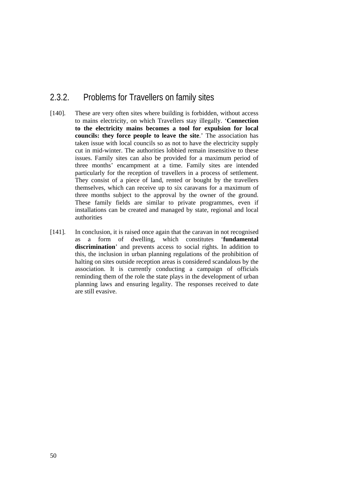### <span id="page-49-0"></span>2.3.2. Problems for Travellers on family sites

- [140]. These are very often sites where building is forbidden, without access to mains electricity, on which Travellers stay illegally. '**Connection to the electricity mains becomes a tool for expulsion for local councils: they force people to leave the site**.' The association has taken issue with local councils so as not to have the electricity supply cut in mid-winter. The authorities lobbied remain insensitive to these issues. Family sites can also be provided for a maximum period of three months' encampment at a time. Family sites are intended particularly for the reception of travellers in a process of settlement. They consist of a piece of land, rented or bought by the travellers themselves, which can receive up to six caravans for a maximum of three months subject to the approval by the owner of the ground. These family fields are similar to private programmes, even if installations can be created and managed by state, regional and local authorities
- [141]. In conclusion, it is raised once again that the caravan in not recognised as a form of dwelling, which constitutes '**fundamental discrimination**' and prevents access to social rights. In addition to this, the inclusion in urban planning regulations of the prohibition of halting on sites outside reception areas is considered scandalous by the association. It is currently conducting a campaign of officials reminding them of the role the state plays in the development of urban planning laws and ensuring legality. The responses received to date are still evasive.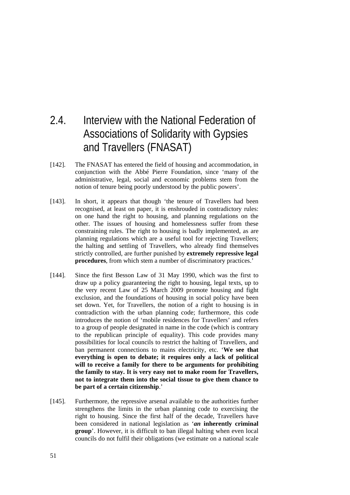# <span id="page-50-0"></span>2.4. Interview with the National Federation of Associations of Solidarity with Gypsies and Travellers (FNASAT)

- [142]. The FNASAT has entered the field of housing and accommodation, in conjunction with the Abbé Pierre Foundation, since 'many of the administrative, legal, social and economic problems stem from the notion of tenure being poorly understood by the public powers'.
- [143]. In short, it appears that though 'the tenure of Travellers had been recognised, at least on paper, it is enshrouded in contradictory rules: on one hand the right to housing, and planning regulations on the other. The issues of housing and homelessness suffer from these constraining rules. The right to housing is badly implemented, as are planning regulations which are a useful tool for rejecting Travellers; the halting and settling of Travellers, who already find themselves strictly controlled, are further punished by **extremely repressive legal procedures**, from which stem a number of discriminatory practices.'
- [144]. Since the first Besson Law of 31 May 1990, which was the first to draw up a policy guaranteeing the right to housing, legal texts, up to the very recent Law of 25 March 2009 promote housing and fight exclusion, and the foundations of housing in social policy have been set down. Yet, for Travellers, the notion of a right to housing is in contradiction with the urban planning code; furthermore, this code introduces the notion of 'mobile residences for Travellers' and refers to a group of people designated in name in the code (which is contrary to the republican principle of equality). This code provides many possibilities for local councils to restrict the halting of Travellers, and ban permanent connections to mains electricity, etc. '**We see that everything is open to debate; it requires only a lack of political will to receive a family for there to be arguments for prohibiting the family to stay. It is very easy not to make room for Travellers, not to integrate them into the social tissue to give them chance to be part of a certain citizenship**.'
- [145]. Furthermore, the repressive arsenal available to the authorities further strengthens the limits in the urban planning code to exercising the right to housing. Since the first half of the decade, Travellers have been considered in national legislation as '*an* **inherently criminal group**'. However, it is difficult to ban illegal halting when even local councils do not fulfil their obligations (we estimate on a national scale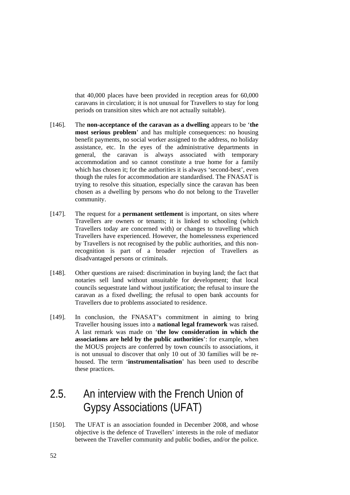<span id="page-51-0"></span>that 40,000 places have been provided in reception areas for 60,000 caravans in circulation; it is not unusual for Travellers to stay for long periods on transition sites which are not actually suitable).

- [146]. The **non-acceptance of the caravan as a dwelling** appears to be '**the most serious problem**' and has multiple consequences: no housing benefit payments, no social worker assigned to the address, no holiday assistance, etc. In the eyes of the administrative departments in general, the caravan is always associated with temporary accommodation and so cannot constitute a true home for a family which has chosen it; for the authorities it is always 'second-best', even though the rules for accommodation are standardised. The FNASAT is trying to resolve this situation, especially since the caravan has been chosen as a dwelling by persons who do not belong to the Traveller community.
- [147]. The request for a **permanent settlement** is important, on sites where Travellers are owners or tenants; it is linked to schooling (which Travellers today are concerned with) or changes to travelling which Travellers have experienced. However, the homelessness experienced by Travellers is not recognised by the public authorities, and this nonrecognition is part of a broader rejection of Travellers as disadvantaged persons or criminals.
- [148]. Other questions are raised: discrimination in buying land; the fact that notaries sell land without unsuitable for development; that local councils sequestrate land without justification; the refusal to insure the caravan as a fixed dwelling; the refusal to open bank accounts for Travellers due to problems associated to residence.
- [149]. In conclusion, the FNASAT's commitment in aiming to bring Traveller housing issues into a **national legal framework** was raised. A last remark was made on '**the low consideration in which the associations are held by the public authorities**': for example, when the MOUS projects are conferred by town councils to associations, it is not unusual to discover that only 10 out of 30 families will be rehoused. The term '**instrumentalisation**' has been used to describe these practices.

# 2.5. An interview with the French Union of Gypsy Associations (UFAT)

[150]. The UFAT is an association founded in December 2008, and whose objective is the defence of Travellers' interests in the role of mediator between the Traveller community and public bodies, and/or the police.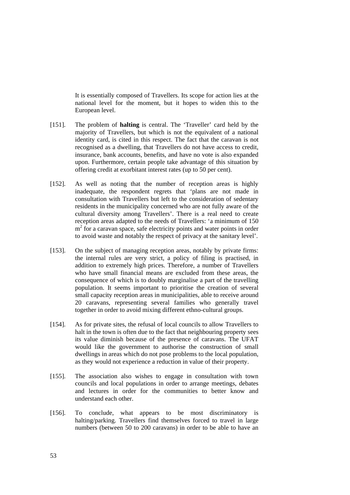It is essentially composed of Travellers. Its scope for action lies at the national level for the moment, but it hopes to widen this to the European level.

- [151]. The problem of **halting** is central. The 'Traveller' card held by the majority of Travellers, but which is not the equivalent of a national identity card, is cited in this respect. The fact that the caravan is not recognised as a dwelling, that Travellers do not have access to credit, insurance, bank accounts, benefits, and have no vote is also expanded upon. Furthermore, certain people take advantage of this situation by offering credit at exorbitant interest rates (up to 50 per cent).
- [152]. As well as noting that the number of reception areas is highly inadequate, the respondent regrets that 'plans are not made in consultation with Travellers but left to the consideration of sedentary residents in the municipality concerned who are not fully aware of the cultural diversity among Travellers'. There is a real need to create reception areas adapted to the needs of Travellers: 'a minimum of 150 m<sup>2</sup> for a caravan space, safe electricity points and water points in order to avoid waste and notably the respect of privacy at the sanitary level'.
- [153]. On the subject of managing reception areas, notably by private firms: the internal rules are very strict, a policy of filing is practised, in addition to extremely high prices. Therefore, a number of Travellers who have small financial means are excluded from these areas, the consequence of which is to doubly marginalise a part of the travelling population. It seems important to prioritise the creation of several small capacity reception areas in municipalities, able to receive around 20 caravans, representing several families who generally travel together in order to avoid mixing different ethno-cultural groups.
- [154]. As for private sites, the refusal of local councils to allow Travellers to halt in the town is often due to the fact that neighbouring property sees its value diminish because of the presence of caravans. The UFAT would like the government to authorise the construction of small dwellings in areas which do not pose problems to the local population, as they would not experience a reduction in value of their property.
- [155]. The association also wishes to engage in consultation with town councils and local populations in order to arrange meetings, debates and lectures in order for the communities to better know and understand each other.
- [156]. To conclude, what appears to be most discriminatory is halting/parking. Travellers find themselves forced to travel in large numbers (between 50 to 200 caravans) in order to be able to have an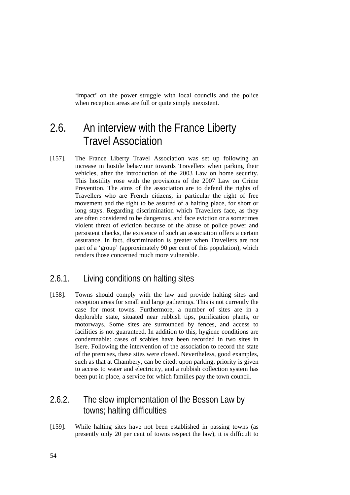<span id="page-53-0"></span>'impact' on the power struggle with local councils and the police when reception areas are full or quite simply inexistent.

# 2.6. An interview with the France Liberty Travel Association

[157]. The France Liberty Travel Association was set up following an increase in hostile behaviour towards Travellers when parking their vehicles, after the introduction of the 2003 Law on home security. This hostility rose with the provisions of the 2007 Law on Crime Prevention. The aims of the association are to defend the rights of Travellers who are French citizens, in particular the right of free movement and the right to be assured of a halting place, for short or long stays. Regarding discrimination which Travellers face, as they are often considered to be dangerous, and face eviction or a sometimes violent threat of eviction because of the abuse of police power and persistent checks, the existence of such an association offers a certain assurance. In fact, discrimination is greater when Travellers are not part of a 'group' (approximately 90 per cent of this population), which renders those concerned much more vulnerable.

### 2.6.1. Living conditions on halting sites

[158]. Towns should comply with the law and provide halting sites and reception areas for small and large gatherings. This is not currently the case for most towns. Furthermore, a number of sites are in a deplorable state, situated near rubbish tips, purification plants, or motorways. Some sites are surrounded by fences, and access to facilities is not guaranteed. In addition to this, hygiene conditions are condemnable: cases of scabies have been recorded in two sites in Isere. Following the intervention of the association to record the state of the premises, these sites were closed. Nevertheless, good examples, such as that at Chambery, can be cited: upon parking, priority is given to access to water and electricity, and a rubbish collection system has been put in place, a service for which families pay the town council.

## 2.6.2. The slow implementation of the Besson Law by towns; halting difficulties

[159]. While halting sites have not been established in passing towns (as presently only 20 per cent of towns respect the law), it is difficult to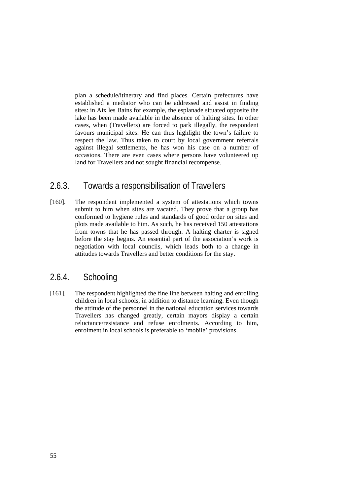<span id="page-54-0"></span>plan a schedule/itinerary and find places. Certain prefectures have established a mediator who can be addressed and assist in finding sites: in Aix les Bains for example, the esplanade situated opposite the lake has been made available in the absence of halting sites. In other cases, when (Travellers) are forced to park illegally, the respondent favours municipal sites. He can thus highlight the town's failure to respect the law. Thus taken to court by local government referrals against illegal settlements, he has won his case on a number of occasions. There are even cases where persons have volunteered up land for Travellers and not sought financial recompense.

### 2.6.3. Towards a responsibilisation of Travellers

[160]. The respondent implemented a system of attestations which towns submit to him when sites are vacated. They prove that a group has conformed to hygiene rules and standards of good order on sites and plots made available to him. As such, he has received 150 attestations from towns that he has passed through. A halting charter is signed before the stay begins. An essential part of the association's work is negotiation with local councils, which leads both to a change in attitudes towards Travellers and better conditions for the stay.

### 2.6.4. Schooling

[161]. The respondent highlighted the fine line between halting and enrolling children in local schools, in addition to distance learning. Even though the attitude of the personnel in the national education services towards Travellers has changed greatly, certain mayors display a certain reluctance/resistance and refuse enrolments. According to him, enrolment in local schools is preferable to 'mobile' provisions.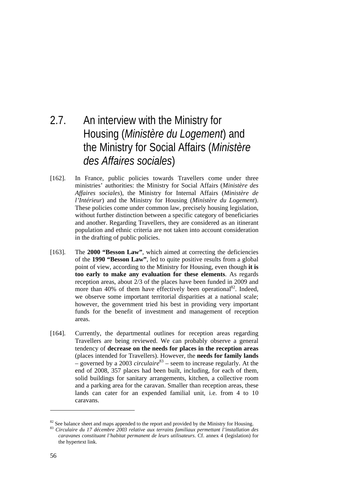# 2.7. An interview with the Ministry for Housing (*Ministère du Logement*) and the Ministry for Social Affairs (*Ministère des Affaires sociales*)

- [162]. In France, public policies towards Travellers come under three ministries' authorities: the Ministry for Social Affairs (*Ministère des Affaires sociales*), the Ministry for Internal Affairs (*Ministère de l'Intérieur*) and the Ministry for Housing (*Ministère du Logement*). These policies come under common law, precisely housing legislation, without further distinction between a specific category of beneficiaries and another. Regarding Travellers, they are considered as an itinerant population and ethnic criteria are not taken into account consideration in the drafting of public policies.
- [163]. The **2000 "Besson Law"**, which aimed at correcting the deficiencies of the **1990 "Besson Law"**, led to quite positive results from a global point of view, according to the Ministry for Housing, even though **it is too early to make any evaluation for these elements**. As regards reception areas, about 2/3 of the places have been funded in 2009 and more than 40% of them have effectively been operational<sup>82</sup>. Indeed, we observe some important territorial disparities at a national scale; however, the government tried his best in providing very important funds for the benefit of investment and management of reception areas.
- [164]. Currently, the departmental outlines for reception areas regarding Travellers are being reviewed. We can probably observe a general tendency of **decrease on the needs for places in the reception areas** (places intended for Travellers). However, the **needs for family lands** – governed by a 2003 *circulaire*[83](#page-55-1) – seem to increase regularly. At the end of 2008, 357 places had been built, including, for each of them, solid buildings for sanitary arrangements, kitchen, a collective room and a parking area for the caravan. Smaller than reception areas, these lands can cater for an expended familial unit, i.e. from 4 to 10 caravans.

<span id="page-55-0"></span><sup>82</sup> See balance sheet and maps appended to the report and provided by the Ministry for Housing. 83 *Circulaire du 17 décembre 2003 relative aux terrains familiaux permettant l'installation des* 

<span id="page-55-1"></span>*caravanes constituant l'habitat permanent de leurs utilisateurs*. Cf. annex 4 (legislation) for the hypertext link.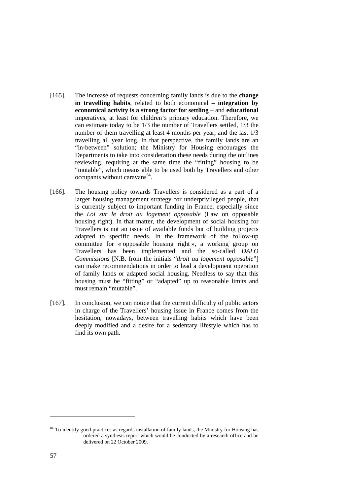- [165]. The increase of requests concerning family lands is due to the **change in travelling habits**, related to both economical – **integration by economical activity is a strong factor for settling** – and **educational** imperatives, at least for children's primary education. Therefore, we can estimate today to be 1/3 the number of Travellers settled, 1/3 the number of them travelling at least 4 months per year, and the last 1/3 travelling all year long. In that perspective, the family lands are an "in-between" solution; the Ministry for Housing encourages the Departments to take into consideration these needs during the outlines reviewing, requiring at the same time the "fitting" housing to be "mutable", which means able to be used both by Travellers and other occupants without caravans<sup>84</sup>.
- [166]. The housing policy towards Travellers is considered as a part of a larger housing management strategy for underprivileged people, that is currently subject to important funding in France, especially since the *Loi sur le droit au logement opposable* (Law on opposable housing right). In that matter, the development of social housing for Travellers is not an issue of available funds but of building projects adapted to specific needs. In the framework of the follow-up committee for « opposable housing right », a working group on Travellers has been implemented and the so-called *DALO Commissions* [N.B. from the initials "*droit au logement opposable*"] can make recommendations in order to lead a development operation of family lands or adapted social housing. Needless to say that this housing must be "fitting" or "adapted" up to reasonable limits and must remain "mutable".
- [167]. In conclusion, we can notice that the current difficulty of public actors in charge of the Travellers' housing issue in France comes from the hesitation, nowadays, between travelling habits which have been deeply modified and a desire for a sedentary lifestyle which has to find its own path.

<span id="page-56-0"></span><sup>&</sup>lt;sup>84</sup> To identify good practices as regards installation of family lands, the Ministry for Housing has ordered a synthesis report which would be conducted by a research office and be delivered on 22 October 2009.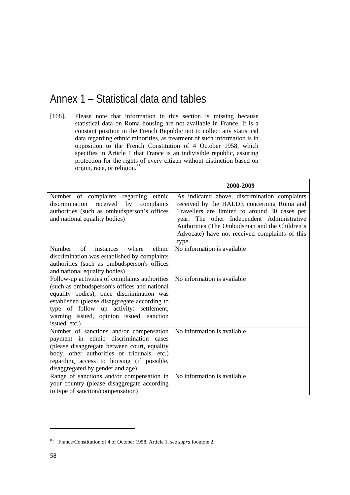# Annex 1 – Statistical data and tables

[168]. Please note that information in this section is missing because statistical data on Roma housing are not available in France. It is a constant position in the French Republic not to collect any statistical data regarding ethnic minorities, as treatment of such information is in opposition to the French Constitution of 4 October 1958, which specifies in Article 1 that France is an indivisible republic, assuring protection for the rights of every citizen without distinction based on origin, race, or religion.<sup>85</sup>

|                                                                                                                                                                                                                                                                                                      | 2000-2009                                                                                                                                                                                                                                                                                             |
|------------------------------------------------------------------------------------------------------------------------------------------------------------------------------------------------------------------------------------------------------------------------------------------------------|-------------------------------------------------------------------------------------------------------------------------------------------------------------------------------------------------------------------------------------------------------------------------------------------------------|
| Number of complaints regarding ethnic<br>discrimination<br>received<br>by<br>complaints<br>authorities (such as ombudsperson's offices<br>and national equality bodies)                                                                                                                              | As indicated above, discrimination complaints<br>received by the HALDE concerning Roma and<br>Travellers are limited to around 30 cases per<br>year. The other Independent Administrative<br>Authorities (The Ombudsman and the Children's<br>Advocate) have not received complaints of this<br>type. |
| Number<br>of<br>ethnic<br>instances<br>where<br>discrimination was established by complaints<br>authorities (such as ombudsperson's offices<br>and national equality bodies)                                                                                                                         | No information is available                                                                                                                                                                                                                                                                           |
| Follow-up activities of complaints authorities<br>(such as ombudsperson's offices and national<br>equality bodies), once discrimination was<br>established (please disaggregate according to<br>type of follow up activity: settlement,<br>warning issued, opinion issued, sanction<br>issued, etc.) | No information is available                                                                                                                                                                                                                                                                           |
| Number of sanctions and/or compensation<br>payment in ethnic discrimination cases<br>(please disaggregate between court, equality<br>body, other authorities or tribunals, etc.)<br>regarding access to housing (if possible,<br>disaggregated by gender and age)                                    | No information is available                                                                                                                                                                                                                                                                           |
| Range of sanctions and/or compensation in<br>your country (please disaggregate according<br>to type of sanction/compensation)                                                                                                                                                                        | No information is available                                                                                                                                                                                                                                                                           |

<span id="page-57-0"></span><sup>85</sup> France/Constitution of 4 of October 1958, Article 1, see *supra* footnote 2.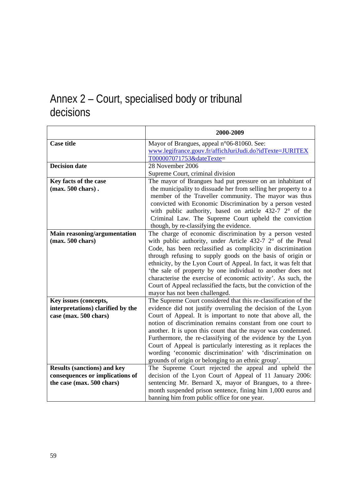# Annex 2 – Court, specialised body or tribunal decisions

| 2000-2009                                                                                                                     |
|-------------------------------------------------------------------------------------------------------------------------------|
| Mayor of Brangues, appeal n°06-81060. See:                                                                                    |
| www.legifrance.gouv.fr/affichJuriJudi.do?idTexte=JURITEX                                                                      |
| T000007071753&dateTexte=                                                                                                      |
| 28 November 2006                                                                                                              |
| Supreme Court, criminal division                                                                                              |
| The mayor of Brangues had put pressure on an inhabitant of                                                                    |
| the municipality to dissuade her from selling her property to a                                                               |
| member of the Traveller community. The mayor was thus                                                                         |
| convicted with Economic Discrimination by a person vested                                                                     |
| with public authority, based on article $432-7$ $2^{\circ}$ of the                                                            |
| Criminal Law. The Supreme Court upheld the conviction                                                                         |
| though, by re-classifying the evidence.                                                                                       |
| The charge of economic discrimination by a person vested                                                                      |
| with public authority, under Article 432-7 2° of the Penal                                                                    |
| Code, has been reclassified as complicity in discrimination                                                                   |
| through refusing to supply goods on the basis of origin or                                                                    |
| ethnicity, by the Lyon Court of Appeal. In fact, it was felt that                                                             |
| 'the sale of property by one individual to another does not                                                                   |
| characterise the exercise of economic activity'. As such, the                                                                 |
| Court of Appeal reclassified the facts, but the conviction of the                                                             |
| mayor has not been challenged.                                                                                                |
| The Supreme Court considered that this re-classification of the                                                               |
| evidence did not justify overruling the decision of the Lyon                                                                  |
| Court of Appeal. It is important to note that above all, the                                                                  |
| notion of discrimination remains constant from one court to                                                                   |
| another. It is upon this count that the mayor was condemned.                                                                  |
| Furthermore, the re-classifying of the evidence by the Lyon<br>Court of Appeal is particularly interesting as it replaces the |
| wording 'economic discrimination' with 'discrimination on                                                                     |
| grounds of origin or belonging to an ethnic group'.                                                                           |
| The Supreme Court rejected the appeal and upheld the                                                                          |
| decision of the Lyon Court of Appeal of 11 January 2006:                                                                      |
| sentencing Mr. Bernard X, mayor of Brangues, to a three-                                                                      |
| month suspended prison sentence, fining him 1,000 euros and                                                                   |
| banning him from public office for one year.                                                                                  |
|                                                                                                                               |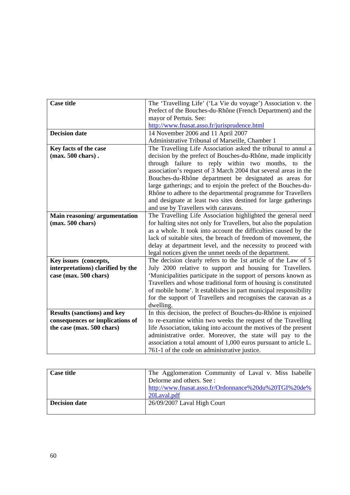| <b>Case title</b>                  | The 'Travelling Life' ('La Vie du voyage') Association v. the      |
|------------------------------------|--------------------------------------------------------------------|
|                                    | Prefect of the Bouches-du-Rhône (French Department) and the        |
|                                    | mayor of Pertuis. See:                                             |
|                                    | http://www.fnasat.asso.fr/jurisprudence.html                       |
| <b>Decision date</b>               | 14 November 2006 and 11 April 2007                                 |
|                                    | Administrative Tribunal of Marseille, Chamber 1                    |
| Key facts of the case              | The Travelling Life Association asked the tribunal to annul a      |
| $(max. 500 \text{ chars})$ .       | decision by the prefect of Bouches-du-Rhône, made implicitly       |
|                                    | through failure to reply within two months, to the                 |
|                                    | association's request of 3 March 2004 that several areas in the    |
|                                    | Bouches-du-Rhône department be designated as areas for             |
|                                    | large gatherings; and to enjoin the prefect of the Bouches-du-     |
|                                    | Rhône to adhere to the departmental programme for Travellers       |
|                                    | and designate at least two sites destined for large gatherings     |
|                                    | and use by Travellers with caravans.                               |
| Main reasoning/argumentation       | The Travelling Life Association highlighted the general need       |
| (max. 500 chars)                   | for halting sites not only for Travellers, but also the population |
|                                    | as a whole. It took into account the difficulties caused by the    |
|                                    | lack of suitable sites, the breach of freedom of movement, the     |
|                                    | delay at department level, and the necessity to proceed with       |
|                                    | legal notices given the unmet needs of the department.             |
| Key issues (concepts,              | The decision clearly refers to the 1st article of the Law of 5     |
| interpretations) clarified by the  | July 2000 relative to support and housing for Travellers.          |
| case (max. 500 chars)              | 'Municipalities participate in the support of persons known as     |
|                                    | Travellers and whose traditional form of housing is constituted    |
|                                    | of mobile home'. It establishes in part municipal responsibility   |
|                                    | for the support of Travellers and recognises the caravan as a      |
|                                    | dwelling.                                                          |
| <b>Results (sanctions) and key</b> | In this decision, the prefect of Bouches-du-Rhône is enjoined      |
| consequences or implications of    | to re-examine within two weeks the request of the Travelling       |
| the case (max. 500 chars)          | life Association, taking into account the motives of the present   |
|                                    | administrative order. Moreover, the state will pay to the          |
|                                    | association a total amount of 1,000 euros pursuant to article L.   |
|                                    | 761-1 of the code on administrative justice.                       |

| <b>Case title</b>    | The Agglomeration Community of Laval v. Miss Isabelle |
|----------------------|-------------------------------------------------------|
|                      | Delorme and others. See :                             |
|                      | http://www.fnasat.asso.fr/Ordonnance%20du%20TGI%20de% |
|                      | 20Laval.pdf                                           |
| <b>Decision date</b> | 26/09/2007 Laval High Court                           |
|                      |                                                       |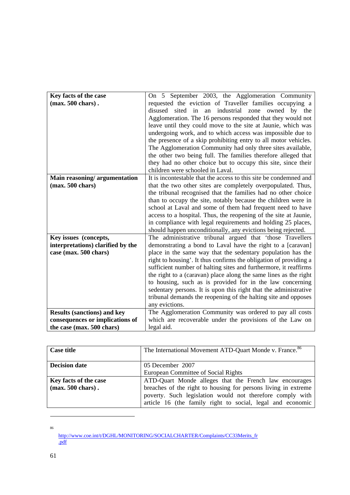| Key facts of the case              | On 5 September 2003, the Agglomeration Community                         |
|------------------------------------|--------------------------------------------------------------------------|
| $(max. 500 \text{ chars})$ .       | requested the eviction of Traveller families occupying a                 |
|                                    | disused<br>industrial<br>sited<br>in<br>an<br>zone<br>owned<br>by<br>the |
|                                    | Agglomeration. The 16 persons responded that they would not              |
|                                    | leave until they could move to the site at Jaunie, which was             |
|                                    |                                                                          |
|                                    | undergoing work, and to which access was impossible due to               |
|                                    | the presence of a skip prohibiting entry to all motor vehicles.          |
|                                    | The Agglomeration Community had only three sites available,              |
|                                    | the other two being full. The families therefore alleged that            |
|                                    | they had no other choice but to occupy this site, since their            |
|                                    | children were schooled in Laval.                                         |
| Main reasoning/argumentation       | It is incontestable that the access to this site be condemned and        |
| (max. 500 chars)                   | that the two other sites are completely overpopulated. Thus,             |
|                                    | the tribunal recognised that the families had no other choice            |
|                                    | than to occupy the site, notably because the children were in            |
|                                    | school at Laval and some of them had frequent need to have               |
|                                    | access to a hospital. Thus, the reopening of the site at Jaunie,         |
|                                    | in compliance with legal requirements and holding 25 places,             |
|                                    | should happen unconditionally, any evictions being rejected.             |
| Key issues (concepts,              | The administrative tribunal argued that 'those Travellers'               |
| interpretations) clarified by the  | demonstrating a bond to Laval have the right to a [caravan]              |
| case (max. 500 chars)              | place in the same way that the sedentary population has the              |
|                                    | right to housing'. It thus confirms the obligation of providing a        |
|                                    | sufficient number of halting sites and furthermore, it reaffirms         |
|                                    | the right to a (caravan) place along the same lines as the right         |
|                                    | to housing, such as is provided for in the law concerning                |
|                                    | sedentary persons. It is upon this right that the administrative         |
|                                    | tribunal demands the reopening of the halting site and opposes           |
|                                    |                                                                          |
|                                    | any evictions.                                                           |
| <b>Results (sanctions) and key</b> | The Agglomeration Community was ordered to pay all costs                 |
| consequences or implications of    | which are recoverable under the provisions of the Law on                 |
| the case (max. 500 chars)          | legal aid.                                                               |

| <b>Case title</b>           | The International Movement ATD-Quart Monde v. France. <sup>86</sup> |
|-----------------------------|---------------------------------------------------------------------|
| <b>Decision date</b>        | 05 December 2007                                                    |
|                             | European Committee of Social Rights                                 |
| Key facts of the case       | ATD-Quart Monde alleges that the French law encourages              |
| $(max. 500 \text{ chars}).$ | breaches of the right to housing for persons living in extreme      |
|                             | poverty. Such legislation would not therefore comply with           |
|                             | article 16 (the family right to social, legal and economic          |

<span id="page-60-0"></span><sup>86</sup> [http://www.coe.int/t/DGHL/MONITORING/SOCIALCHARTER/Complaints/CC33Merits\\_fr](http://www.coe.int/t/DGHL/MONITORING/SOCIALCHARTER/Complaints/CC33Merits_fr.pdf) [.pdf](http://www.coe.int/t/DGHL/MONITORING/SOCIALCHARTER/Complaints/CC33Merits_fr.pdf)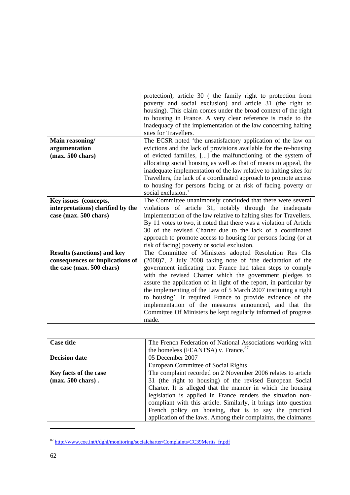|                                    | protection), article 30 (the family right to protection from        |
|------------------------------------|---------------------------------------------------------------------|
|                                    | poverty and social exclusion) and article 31 (the right to          |
|                                    | housing). This claim comes under the broad context of the right     |
|                                    | to housing in France. A very clear reference is made to the         |
|                                    | inadequacy of the implementation of the law concerning halting      |
|                                    | sites for Travellers.                                               |
| Main reasoning/                    | The ECSR noted 'the unsatisfactory application of the law on        |
| argumentation                      | evictions and the lack of provisions available for the re-housing   |
|                                    |                                                                     |
| $(max. 500 \text{ chars})$         | of evicted families, [] the malfunctioning of the system of         |
|                                    | allocating social housing as well as that of means to appeal, the   |
|                                    | inadequate implementation of the law relative to halting sites for  |
|                                    | Travellers, the lack of a coordinated approach to promote access    |
|                                    | to housing for persons facing or at risk of facing poverty or       |
|                                    | social exclusion.'                                                  |
| Key issues (concepts,              | The Committee unanimously concluded that there were several         |
| interpretations) clarified by the  | violations of article 31, notably through the inadequate            |
| case (max. 500 chars)              | implementation of the law relative to halting sites for Travellers. |
|                                    | By 11 votes to two, it noted that there was a violation of Article  |
|                                    | 30 of the revised Charter due to the lack of a coordinated          |
|                                    | approach to promote access to housing for persons facing (or at     |
|                                    | risk of facing) poverty or social exclusion.                        |
|                                    |                                                                     |
| <b>Results (sanctions) and key</b> | The Committee of Ministers adopted Resolution Res Chs               |
| consequences or implications of    | (2008)7, 2 July 2008 taking note of 'the declaration of the         |
| the case (max. 500 chars)          | government indicating that France had taken steps to comply         |
|                                    | with the revised Charter which the government pledges to            |
|                                    | assure the application of in light of the report, in particular by  |
|                                    | the implementing of the Law of 5 March 2007 instituting a right     |
|                                    | to housing'. It required France to provide evidence of the          |
|                                    | implementation of the measures announced, and that the              |
|                                    | Committee Of Ministers be kept regularly informed of progress       |
|                                    | made.                                                               |
|                                    |                                                                     |

| <b>Case title</b>                                     | The French Federation of National Associations working with<br>the homeless (FEANTSA) v. France. <sup>87</sup>                                                                                                                                                                                                                                                                                                                                        |
|-------------------------------------------------------|-------------------------------------------------------------------------------------------------------------------------------------------------------------------------------------------------------------------------------------------------------------------------------------------------------------------------------------------------------------------------------------------------------------------------------------------------------|
| <b>Decision date</b>                                  | 05 December 2007<br>European Committee of Social Rights                                                                                                                                                                                                                                                                                                                                                                                               |
| Key facts of the case<br>$(max. 500 \text{ chars})$ . | The complaint recorded on 2 November 2006 relates to article<br>31 (the right to housing) of the revised European Social<br>Charter. It is alleged that the manner in which the housing<br>legislation is applied in France renders the situation non-<br>compliant with this article. Similarly, it brings into question<br>French policy on housing, that is to say the practical<br>application of the laws. Among their complaints, the claimants |

<span id="page-61-0"></span><sup>87</sup> [http://www.coe.int/t/dghl/monitoring/socialcharter/Complaints/CC39Merits\\_fr.pdf](http://www.coe.int/t/dghl/monitoring/socialcharter/Complaints/CC39Merits_fr.pdf)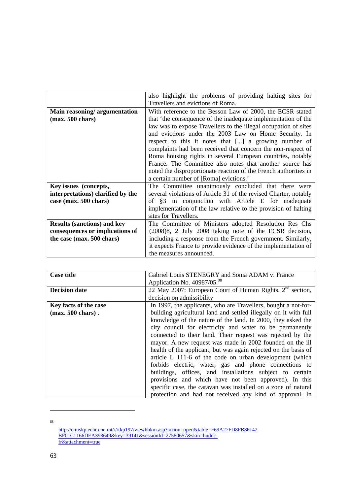|                                    | also highlight the problems of providing halting sites for       |
|------------------------------------|------------------------------------------------------------------|
|                                    |                                                                  |
|                                    | Travellers and evictions of Roma.                                |
| Main reasoning/argumentation       | With reference to the Besson Law of 2000, the ECSR stated        |
| $(max. 500 \text{ chars})$         | that 'the consequence of the inadequate implementation of the    |
|                                    | law was to expose Travellers to the illegal occupation of sites  |
|                                    | and evictions under the 2003 Law on Home Security. In            |
|                                    | respect to this it notes that [] a growing number of             |
|                                    | complaints had been received that concern the non-respect of     |
|                                    | Roma housing rights in several European countries, notably       |
|                                    | France. The Committee also notes that another source has         |
|                                    | noted the disproportionate reaction of the French authorities in |
|                                    | a certain number of [Roma] evictions.'                           |
|                                    |                                                                  |
| Key issues (concepts,              | The Committee unanimously concluded that there were              |
| interpretations) clarified by the  | several violations of Article 31 of the revised Charter, notably |
| case (max. 500 chars)              | of §3 in conjunction with Article E for inadequate               |
|                                    | implementation of the law relative to the provision of halting   |
|                                    | sites for Travellers.                                            |
| <b>Results (sanctions) and key</b> | The Committee of Ministers adopted Resolution Res Chs            |
| consequences or implications of    | (2008)8, 2 July 2008 taking note of the ECSR decision,           |
| the case (max. 500 chars)          | including a response from the French government. Similarly,      |
|                                    | it expects France to provide evidence of the implementation of   |
|                                    |                                                                  |
|                                    | the measures announced.                                          |

| <b>Case title</b>            | Gabriel Louis STENEGRY and Sonia ADAM v. France                  |
|------------------------------|------------------------------------------------------------------|
|                              | Application No. 40987/05. <sup>88</sup>                          |
| <b>Decision date</b>         | 22 May 2007: European Court of Human Rights, $2nd$ section,      |
|                              | decision on admissibility                                        |
| Key facts of the case        | In 1997, the applicants, who are Travellers, bought a not-for-   |
| $(max. 500 \text{ chars})$ . | building agricultural land and settled illegally on it with full |
|                              | knowledge of the nature of the land. In 2000, they asked the     |
|                              | city council for electricity and water to be permanently         |
|                              | connected to their land. Their request was rejected by the       |
|                              | mayor. A new request was made in 2002 founded on the ill         |
|                              | health of the applicant, but was again rejected on the basis of  |
|                              | article L 111-6 of the code on urban development (which          |
|                              | forbids electric, water, gas and phone connections to            |
|                              | buildings, offices, and installations subject to certain         |
|                              | provisions and which have not been approved). In this            |
|                              | specific case, the caravan was installed on a zone of natural    |
|                              | protection and had not received any kind of approval. In         |

<sup>88</sup>

<span id="page-62-0"></span>[http://cmiskp.echr.coe.int////tkp197/viewhbkm.asp?action=open&table=F69A27FD8FB86142](http://cmiskp.echr.coe.int////tkp197/viewhbkm.asp?action=open&table=F69A27FD8FB86142BF01C1166DEA398649&key=39141&sessionId=27580657&skin=hudoc-fr&attachment=true) [BF01C1166DEA398649&key=39141&sessionId=27580657&skin=hudoc](http://cmiskp.echr.coe.int////tkp197/viewhbkm.asp?action=open&table=F69A27FD8FB86142BF01C1166DEA398649&key=39141&sessionId=27580657&skin=hudoc-fr&attachment=true)[fr&attachment=true](http://cmiskp.echr.coe.int////tkp197/viewhbkm.asp?action=open&table=F69A27FD8FB86142BF01C1166DEA398649&key=39141&sessionId=27580657&skin=hudoc-fr&attachment=true)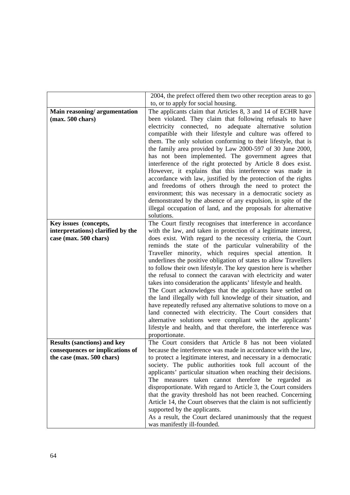|                                                            | 2004, the prefect offered them two other reception areas to go                                                                                                                                                                                                                                                                                                                                                                                                                                                                                                                                                                                                                                                                                                                                                                                                                                                         |
|------------------------------------------------------------|------------------------------------------------------------------------------------------------------------------------------------------------------------------------------------------------------------------------------------------------------------------------------------------------------------------------------------------------------------------------------------------------------------------------------------------------------------------------------------------------------------------------------------------------------------------------------------------------------------------------------------------------------------------------------------------------------------------------------------------------------------------------------------------------------------------------------------------------------------------------------------------------------------------------|
|                                                            | to, or to apply for social housing.                                                                                                                                                                                                                                                                                                                                                                                                                                                                                                                                                                                                                                                                                                                                                                                                                                                                                    |
| Main reasoning/argumentation<br>$(max. 500 \text{ chars})$ | The applicants claim that Articles 8, 3 and 14 of ECHR have<br>been violated. They claim that following refusals to have<br>electricity connected, no<br>adequate<br>alternative<br>solution<br>compatible with their lifestyle and culture was offered to<br>them. The only solution conforming to their lifestyle, that is<br>the family area provided by Law 2000-597 of 30 June 2000,<br>has not been implemented. The government agrees that<br>interference of the right protected by Article 8 does exist.<br>However, it explains that this interference was made in<br>accordance with law, justified by the protection of the rights<br>and freedoms of others through the need to protect the<br>environment; this was necessary in a democratic society as<br>demonstrated by the absence of any expulsion, in spite of the<br>illegal occupation of land, and the proposals for alternative<br>solutions. |
| Key issues (concepts,                                      | The Court firstly recognises that interference in accordance                                                                                                                                                                                                                                                                                                                                                                                                                                                                                                                                                                                                                                                                                                                                                                                                                                                           |
| interpretations) clarified by the                          | with the law, and taken in protection of a legitimate interest,                                                                                                                                                                                                                                                                                                                                                                                                                                                                                                                                                                                                                                                                                                                                                                                                                                                        |
| case (max. 500 chars)                                      | does exist. With regard to the necessity criteria, the Court                                                                                                                                                                                                                                                                                                                                                                                                                                                                                                                                                                                                                                                                                                                                                                                                                                                           |
|                                                            | reminds the state of the particular vulnerability of the<br>Traveller minority, which requires special attention. It<br>underlines the positive obligation of states to allow Travellers<br>to follow their own lifestyle. The key question here is whether<br>the refusal to connect the caravan with electricity and water<br>takes into consideration the applicants' lifestyle and health.<br>The Court acknowledges that the applicants have settled on<br>the land illegally with full knowledge of their situation, and<br>have repeatedly refused any alternative solutions to move on a<br>land connected with electricity. The Court considers that<br>alternative solutions were compliant with the applicants'<br>lifestyle and health, and that therefore, the interference was<br>proportionate.                                                                                                         |
| <b>Results (sanctions) and key</b>                         | The Court considers that Article 8 has not been violated                                                                                                                                                                                                                                                                                                                                                                                                                                                                                                                                                                                                                                                                                                                                                                                                                                                               |
| consequences or implications of                            | because the interference was made in accordance with the law,                                                                                                                                                                                                                                                                                                                                                                                                                                                                                                                                                                                                                                                                                                                                                                                                                                                          |
| the case (max. 500 chars)                                  | to protect a legitimate interest, and necessary in a democratic                                                                                                                                                                                                                                                                                                                                                                                                                                                                                                                                                                                                                                                                                                                                                                                                                                                        |
|                                                            | society. The public authorities took full account of the<br>applicants' particular situation when reaching their decisions.<br>The measures taken cannot therefore be regarded as<br>disproportionate. With regard to Article 3, the Court considers<br>that the gravity threshold has not been reached. Concerning<br>Article 14, the Court observes that the claim is not sufficiently<br>supported by the applicants.<br>As a result, the Court declared unanimously that the request<br>was manifestly ill-founded.                                                                                                                                                                                                                                                                                                                                                                                                |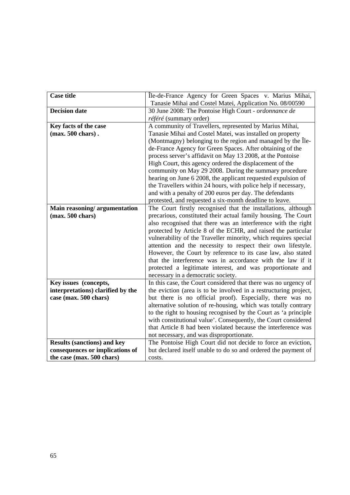| <b>Case title</b>                  | Île-de-France Agency for Green Spaces v. Marius Mihai,                                                                            |
|------------------------------------|-----------------------------------------------------------------------------------------------------------------------------------|
|                                    | Tanasie Mihai and Costel Matei, Application No. 08/00590                                                                          |
| <b>Decision date</b>               | 30 June 2008: The Pontoise High Court - ordonnance de                                                                             |
|                                    | référé (summary order)                                                                                                            |
| Key facts of the case              | A community of Travellers, represented by Marius Mihai,                                                                           |
| $(max. 500 \text{ chars})$ .       | Tanasie Mihai and Costel Matei, was installed on property                                                                         |
|                                    | (Montmagny) belonging to the region and managed by the Ile-                                                                       |
|                                    | de-France Agency for Green Spaces. After obtaining of the                                                                         |
|                                    | process server's affidavit on May 13 2008, at the Pontoise                                                                        |
|                                    | High Court, this agency ordered the displacement of the                                                                           |
|                                    | community on May 29 2008. During the summary procedure                                                                            |
|                                    | hearing on June 6 2008, the applicant requested expulsion of                                                                      |
|                                    | the Travellers within 24 hours, with police help if necessary,                                                                    |
|                                    | and with a penalty of 200 euros per day. The defendants                                                                           |
|                                    | protested, and requested a six-month deadline to leave.                                                                           |
| Main reasoning/argumentation       | The Court firstly recognised that the installations, although                                                                     |
| $(max. 500 \text{ chars})$         | precarious, constituted their actual family housing. The Court                                                                    |
|                                    | also recognised that there was an interference with the right                                                                     |
|                                    | protected by Article 8 of the ECHR, and raised the particular                                                                     |
|                                    | vulnerability of the Traveller minority, which requires special                                                                   |
|                                    | attention and the necessity to respect their own lifestyle.                                                                       |
|                                    | However, the Court by reference to its case law, also stated                                                                      |
|                                    | that the interference was in accordance with the law if it                                                                        |
|                                    | protected a legitimate interest, and was proportionate and                                                                        |
|                                    | necessary in a democratic society.                                                                                                |
| Key issues (concepts,              | In this case, the Court considered that there was no urgency of                                                                   |
| interpretations) clarified by the  | the eviction (area is to be involved in a restructuring project,                                                                  |
| case (max. 500 chars)              | but there is no official proof). Especially, there was no                                                                         |
|                                    | alternative solution of re-housing, which was totally contrary<br>to the right to housing recognised by the Court as 'a principle |
|                                    | with constitutional value'. Consequently, the Court considered                                                                    |
|                                    | that Article 8 had been violated because the interference was                                                                     |
|                                    | not necessary, and was disproportionate.                                                                                          |
| <b>Results (sanctions) and key</b> | The Pontoise High Court did not decide to force an eviction,                                                                      |
| consequences or implications of    | but declared itself unable to do so and ordered the payment of                                                                    |
| the case (max. 500 chars)          | costs.                                                                                                                            |
|                                    |                                                                                                                                   |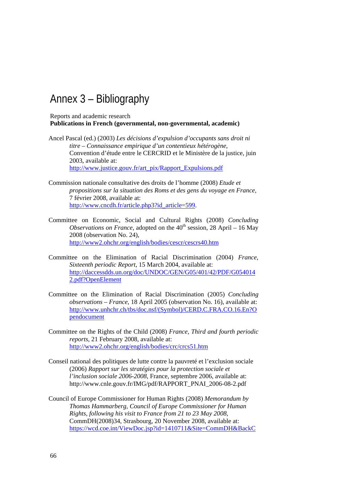## Annex 3 – Bibliography

Reports and academic research **Publications in French (governmental, non-governmental, academic)** 

- Ancel Pascal (ed.) (2003) *Les décisions d'expulsion d'occupants sans droit ni titre – Connaissance empirique d'un contentieux hétérogène*, Convention d'étude entre le CERCRID et le Ministère de la justice, juin 2003, available at: [http://www.justice.gouv.fr/art\\_pix/Rapport\\_Expulsions.pdf](http://www.justice.gouv.fr/art_pix/Rapport_Expulsions.pdf)
- Commission nationale consultative des droits de l'homme (2008) *Etude et propositions sur la situation des Roms et des gens du voyage en France*, 7 février 2008, available at: [http://www.cncdh.fr/article.php3?id\\_article=599.](http://www.cncdh.fr/article.php3?id_article=599)
- Committee on Economic, Social and Cultural Rights (2008) *Concluding Observations on France*, adopted on the  $40<sup>th</sup>$  session, 28 April – 16 May 2008 (observation No. 24), <http://www2.ohchr.org/english/bodies/cescr/cescrs40.htm>
- Committee on the Elimination of Racial Discrimination (2004) *France, Sixteenth periodic Report,* 15 March 2004, available at: [http://daccessdds.un.org/doc/UNDOC/GEN/G05/401/42/PDF/G054014](http://daccessdds.un.org/doc/UNDOC/GEN/G05/401/42/PDF/G0540142.pdf?OpenElement) [2.pdf?OpenElement](http://daccessdds.un.org/doc/UNDOC/GEN/G05/401/42/PDF/G0540142.pdf?OpenElement)
- Committee on the Elimination of Racial Discrimination (2005) *Concluding observations – France*, 18 April 2005 (observation No. 16), available at: [http://www.unhchr.ch/tbs/doc.nsf/\(Symbol\)/CERD.C.FRA.CO.16.En?O](http://www.unhchr.ch/tbs/doc.nsf/(Symbol)/CERD.C.FRA.CO.16.En?Opendocument) [pendocument](http://www.unhchr.ch/tbs/doc.nsf/(Symbol)/CERD.C.FRA.CO.16.En?Opendocument)
- Committee on the Rights of the Child (2008) *France, Third and fourth periodic reports*, 21 February 2008, available at: <http://www2.ohchr.org/english/bodies/crc/crcs51.htm>
- Conseil national des politiques de lutte contre la pauvreté et l'exclusion sociale (2006) *Rapport sur les stratégies pour la protection sociale et l'inclusion sociale 2006-2008*, France, septembre 2006, available at: [http://www.cnle.gouv.fr/IMG/pdf/RAPPORT\\_PNAI\\_2006-08-2.pdf](http://www.cnle.gouv.fr/IMG/pdf/RAPPORT_PNAI_2006-08-2.pdf)
- Council of Europe Commissioner for Human Rights (2008) *Memorandum by Thomas Hammarberg, Council of Europe Commissioner for Human Rights, following his visit to France from 21 to 23 May 2008*, CommDH(2008)34, Strasbourg, 20 November 2008, available at: [https://wcd.coe.int/ViewDoc.jsp?id=1410711&Site=CommDH&BackC](https://wcd.coe.int/ViewDoc.jsp?id=1410711&Site=CommDH&BackColorInternet=FEC65B&BackColorIntranet=FEC65B&BackColorLogged=FFC679)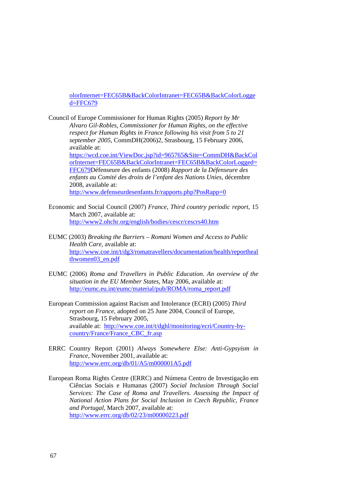olorInternet=FEC65B&BackColorIntranet=FEC65B&BackColorLogge d=FFC679

Council of Europe Commissioner for Human Rights (2005) *Report by Mr Alvaro Gil-Robles, Commissioner for Human Rights, on the effective respect for Human Rights in France following his visit from 5 to 21 september 2005*, CommDH(2006)2, Strasbourg, 15 February 2006, available at: [https://wcd.coe.int/ViewDoc.jsp?id=965765&Site=CommDH&BackCol](https://wcd.coe.int/ViewDoc.jsp?id=965765&Site=CommDH&BackColorInternet=FEC65B&BackColorIntranet=FEC65B&BackColorLogged=FFC679) [orInternet=FEC65B&BackColorIntranet=FEC65B&BackColorLogged=](https://wcd.coe.int/ViewDoc.jsp?id=965765&Site=CommDH&BackColorInternet=FEC65B&BackColorIntranet=FEC65B&BackColorLogged=FFC679) [FFC679](https://wcd.coe.int/ViewDoc.jsp?id=965765&Site=CommDH&BackColorInternet=FEC65B&BackColorIntranet=FEC65B&BackColorLogged=FFC679)Défenseure des enfants (2008) *Rapport de la Défenseure des enfants au Comité des droits de l'enfant des Nations Unies*, décembre 2008, available at: <http://www.defenseurdesenfants.fr/rapports.php?PosRapp=0>

- Economic and Social Council (2007) *France, Third country periodic report*, 15 March 2007, available at: <http://www2.ohchr.org/english/bodies/cescr/cescrs40.htm>
- EUMC (2003) *Breaking the Barriers Romani Women and Access to Public Health Care*, available at: [http://www.coe.int/t/dg3/romatravellers/documentation/health/reportheal](http://www.coe.int/t/dg3/romatravellers/documentation/health/reporthealthwomen03_en.pdf) [thwomen03\\_en.pdf](http://www.coe.int/t/dg3/romatravellers/documentation/health/reporthealthwomen03_en.pdf)
- EUMC (2006) *Roma and Travellers in Public Education. An overview of the situation in the EU Member States*, May 2006, available at: [http://eumc.eu.int/eumc/material/pub/ROMA/roma\\_report.pdf](http://eumc.eu.int/eumc/material/pub/ROMA/roma_report.pdf)
- European Commission against Racism and Intolerance (ECRI) (2005) *Third report on France*, adopted on 25 June 2004, Council of Europe, Strasbourg, 15 February 2005, available at: [http://www.coe.int/t/dghl/monitoring/ecri/Country-by](http://www.coe.int/t/dghl/monitoring/ecri/Country-by-country/France/France_CBC_fr.asp)[country/France/France\\_CBC\\_fr.asp](http://www.coe.int/t/dghl/monitoring/ecri/Country-by-country/France/France_CBC_fr.asp)
- ERRC Country Report (2001) *Always Somewhere Else: Anti-Gypsyism in France,* November 2001, available at: <http://www.errc.org/db/01/A5/m000001A5.pdf>
- European Roma Rights Centre (ERRC) and Númena Centro de Investigação em Ciências Sociais e Humanas (2007) *Social Inclusion Through Social Services: The Case of Roma and Travellers. Assessing the Impact of National Action Plans for Social Inclusion in Czech Republic, France and Portugal*, March 2007, available at: <http://www.errc.org/db/02/23/m00000223.pdf>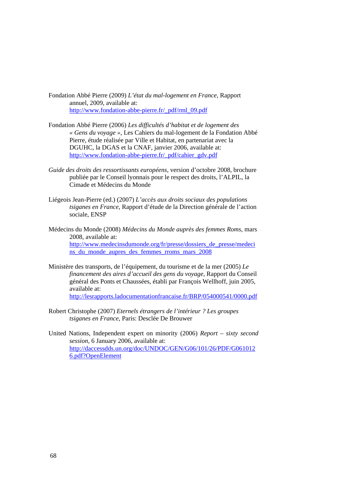Fondation Abbé Pierre (2009) *L'état du mal-logement en France*, Rapport annuel, 2009, available at: [http://www.fondation-abbe-pierre.fr/\\_pdf/rml\\_09.pdf](http://www.fondation-abbe-pierre.fr/_pdf/rml_09.pdf)

- Fondation Abbé Pierre (2006) *Les difficultés d'habitat et de logement des « Gens du voyage »,* Les Cahiers du mal-logement de la Fondation Abbé Pierre, étude réalisée par Ville et Habitat, en partenariat avec la DGUHC, la DGAS et la CNAF, janvier 2006, available at: [http://www.fondation-abbe-pierre.fr/\\_pdf/cahier\\_gdv.pdf](http://www.fondation-abbe-pierre.fr/_pdf/cahier_gdv.pdf)
- *Guide des droits des ressortissants européens*, version d'octobre 2008, brochure publiée par le Conseil lyonnais pour le respect des droits, l'ALPIL, la Cimade et Médecins du Monde
- Liégeois Jean-Pierre (ed.) (2007) *L'accès aux droits sociaux des populations tsiganes en France*, Rapport d'étude de la Direction générale de l'action sociale, ENSP
- Médecins du Monde (2008) *Médecins du Monde auprès des femmes Roms*, mars 2008, available at: [http://www.medecinsdumonde.org/fr/presse/dossiers\\_de\\_presse/medeci](http://www.medecinsdumonde.org/fr/presse/dossiers_de_presse/medecins_du_monde_aupres_des_femmes_rroms_mars_2008) [ns\\_du\\_monde\\_aupres\\_des\\_femmes\\_rroms\\_mars\\_2008](http://www.medecinsdumonde.org/fr/presse/dossiers_de_presse/medecins_du_monde_aupres_des_femmes_rroms_mars_2008)
- Ministère des transports, de l'équipement, du tourisme et de la mer (2005) *Le financement des aires d'accueil des gens du voyage*, Rapport du Conseil général des Ponts et Chaussées, établi par François Wellhoff, juin 2005, available at: <http://lesrapports.ladocumentationfrancaise.fr/BRP/054000541/0000.pdf>
- Robert Christophe (2007) *Eternels étrangers de l'intérieur ? Les groupes tsiganes en France*, Paris: Desclée De Brouwer
- United Nations, Independent expert on minority (2006) *Report sixty second session*, 6 January 2006, available at: [http://daccessdds.un.org/doc/UNDOC/GEN/G06/101/26/PDF/G061012](http://daccessdds.un.org/doc/UNDOC/GEN/G06/101/26/PDF/G0610126.pdf?OpenElement) [6.pdf?OpenElement](http://daccessdds.un.org/doc/UNDOC/GEN/G06/101/26/PDF/G0610126.pdf?OpenElement)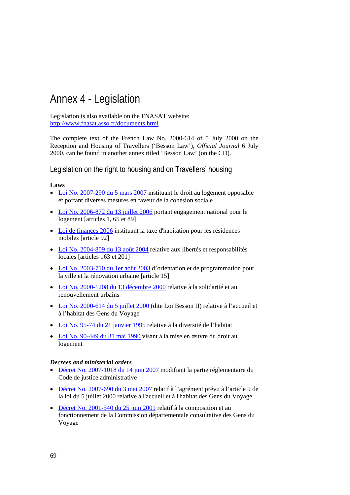# Annex 4 - Legislation

Legislation is also available on the FNASAT website: <http://www.fnasat.asso.fr/documents.html>

The complete text of the French Law No. 2000-614 of 5 July 2000 on the Reception and Housing of Travellers ('Besson Law'), *Official Journal* 6 July 2000, can be found in another annex titled 'Besson Law' (on the CD).

Legislation on the right to housing and on Travellers' housing

#### **Laws**

- [Loi No. 2007-290 du 5 mars 2007](http://www.legifrance.gouv.fr/affichTexte.do?cidTexte=JORFTEXT000000271094&dateTexte=) instituant le droit au logement opposable et portant diverses mesures en faveur de la cohésion sociale
- [Loi No. 2006-872 du 13 juillet 2006](http://www.legifrance.gouv.fr/affichTexte.do?cidTexte=JORFTEXT000000238980&dateTexte=) portant engagement national pour le logement [articles 1, 65 et 89]
- Loi de finances 2006 instituant la taxe d'habitation pour les résidences mobiles [article 92]
- [Loi No. 2004-809 du 13 août 2004](http://www.legifrance.gouv.fr/WAspad/UnTexteDeJorf?numjo=INTX0300078L) relative aux libertés et responsabilités locales [articles 163 et 201]
- [Loi No. 2003-710 du 1er août 2003](http://www.legifrance.gouv.fr/WAspad/UnTexteDeJorf?numjo=VILX0300056L) d'orientation et de programmation pour la ville et la rénovation urbaine [article 15]
- [Loi No. 2000-1208 du 13 décembre 2000](http://www.legifrance.gouv.fr/affichTexte.do?cidTexte=LEGITEXT000005630252&dateTexte=20090407) relative à la solidarité et au renouvellement urbains
- [Loi No. 2000-614 du 5 juillet 2000](http://www.legifrance.gouv.fr/affichTexte.do?cidTexte=JORFTEXT000000583573&fastPos=1&fastReqId=1064480752&categorieLien=cid&oldAction=rechTexte) (dite Loi Besson II) relative à l'accueil et à l'habitat des Gens du Voyage
- [Loi No. 95-74 du 21 janvier 1995](http://www.legifrance.gouv.fr/WAspad/UnTexteDeJorf?numjo=LOGX9412606L) relative à la diversité de l'habitat
- [Loi No. 90-449 du 31 mai 1990](http://www.legifrance.gouv.fr/affichTexte.do?cidTexte=JORFTEXT000000159413&fastPos=1&fastReqId=1026378303&categorieLien=cid&oldAction=rechTexte) visant à la mise en œuvre du droit au logement

#### *Decrees and ministerial orders*

- [Décret No. 2007-1018 du 14 juin 2007](http://www.legifrance.gouv.fr/affichTexte.do?cidTexte=JORFTEXT000000825163&dateTexte=) modifiant la partie réglementaire du Code de justice administrative
- [Décret No. 2007-690 du 3 mai 2007](http://www.fnasat.asso.fr/JOdecretdu030507.pdf) relatif à l'agrément prévu à l'article 9 de la loi du 5 juillet 2000 relative à l'accueil et à l'habitat des Gens du Voyage
- [Décret No. 2001-540 du 25 juin 2001](http://www.legifrance.gouv.fr/citoyen/jorf_nor.ow?numjo=EQUU0100640D) relatif à la composition et au fonctionnement de la Commission départementale consultative des Gens du Voyage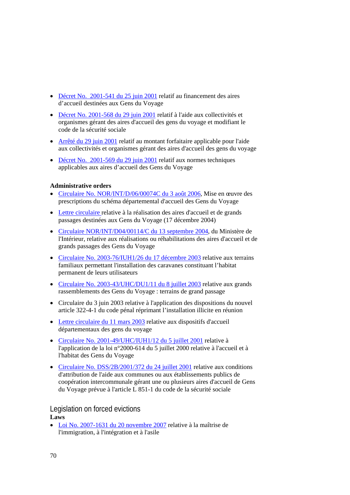- [Décret No. 2001-541 du 25 juin 2001](http://www.droit.org/jo/20010626/EQUU0100641D.html) relatif au financement des aires d'accueil destinées aux Gens du Voyage
- [Décret No. 2001-568 du 29 juin 2001](http://www.sante-sports.gouv.fr/fichiers/bo/2001/01-26/a0261689.htm) relatif à l'aide aux collectivités et organismes gérant des aires d'accueil des gens du voyage et modifiant le code de la sécurité sociale
- [Arrêté du 29 juin 2001](http://www.legifrance.gouv.fr/WAspad/UnTexteDeJorf?numjo=MESS0121624A) relatif au montant forfaitaire applicable pour l'aide aux collectivités et organismes gérant des aires d'accueil des gens du voyage
- [Décret No. 2001-569 du 29 juin 2001](http://www.legifrance.gouv.fr/affichTexte.do?cidTexte=JORFTEXT000000579796&dateTexte=) relatif aux normes techniques applicables aux aires d'accueil des Gens du Voyage

#### **Administrative orders**

- [Circulaire No. NOR/INT/D/06/00074C du 3 août 2006,](http://www.fnasat.asso.fr/circulaire du 3 ao%25FBt 06.pdf) Mise en œuvre des prescriptions du schéma départemental d'accueil des Gens du Voyage
- [Lettre circulaire r](http://www2.equipement.gouv.fr/bulletinofficiel/fiches/BO20052/A0020054.htm)elative à la réalisation des aires d'accueil et de grands passages destinées aux Gens du Voyage (17 décembre 2004)
- [Circulaire NOR/INT/D04/00114/C du](http://www.interieur.gouv.fr/rubriques/b/b5_lois_decrets/04_00114/INTD0400114C.pdf) 13 septembre 2004, du Ministère de l'Intérieur, relative aux réalisations ou réhabilitations des aires d'accueil et de grands passages des Gens du Voyage
- [Circulaire No. 2003-76/IUH1/26 du 17](http://www.fnasat.asso.fr/cirterrfamil.doc) décembre 2003 relative aux terrains familiaux permettant l'installation des caravanes constituant l'habitat permanent de leurs utilisateurs
- [Circulaire No. 2003-43/UHC/DU1/11 du 8 juillet 2003](http://www2.equipement.gouv.fr/bulletinofficiel/fiches/BO200314/A0140045.htm) relative aux grands rassemblements des Gens du Voyage : terrains de grand passage
- Circulaire du 3 juin 2003 relative à l'application des dispositions du nouvel article 322-4-1 du code pénal réprimant l'installation illicite en réunion
- [Lettre circulaire du 11 mars 2003](http://www2.equipement.gouv.fr/bulletinofficiel/fiches/BO200314/A0140045.htm) relative aux dispositifs d'accueil départementaux des gens du voyage
- [Circulaire No. 2001-49/UHC/IUH1/12 du 5 juillet 2001](http://www.equipement.gouv.fr/bulletinofficiel/fiches/BO200114/A0140053.htm) relative à l'application de la loi n°2000-614 du 5 juillet 2000 relative à l'accueil et à l'habitat des Gens du Voyage
- [Circulaire No. DSS/2B/2001/372 du 24 juillet 2001](http://www.sante.gouv.fr/adm/dagpb/bo/2001/01-33/a0332207.htm) relative aux conditions d'attribution de l'aide aux communes ou aux établissements publics de coopération intercommunale gérant une ou plusieurs aires d'accueil de Gens du Voyage prévue à l'article L 851-1 du code de la sécurité sociale

#### Legislation on forced evictions **Laws**

• [Loi No. 2007-1631 du 20 novembre 2007](http://www.legifrance.gouv.fr/affichTexte.do?cidTexte=JORFTEXT000000524004&dateTexte=) relative à la maîtrise de l'immigration, à l'intégration et à l'asile